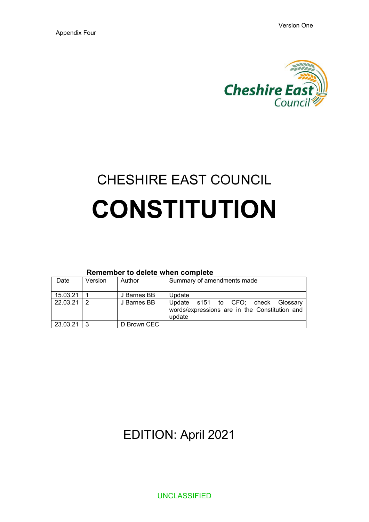

# CHESHIRE EAST COUNCIL **CONSTITUTION**

#### **Remember to delete when complete**

| Date     | Version | Author      | Summary of amendments made                                                                    |
|----------|---------|-------------|-----------------------------------------------------------------------------------------------|
| 15.03.21 |         | J Barnes BB | Update                                                                                        |
| 22.03.21 | -2      | J Barnes BB | Update s151 to CFO; check Glossary<br>words/expressions are in the Constitution and<br>update |
| 23.03.21 | -3      | D Brown CEC |                                                                                               |

## EDITION: April 2021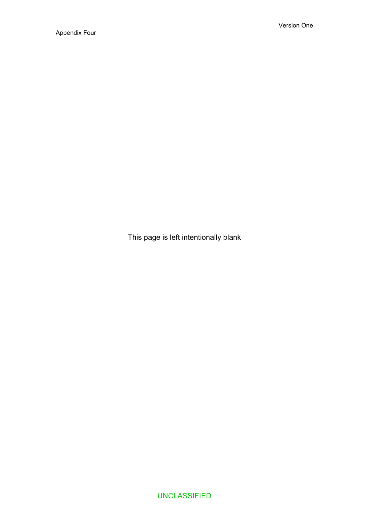This page is left intentionally blank

UNCLASSIFIED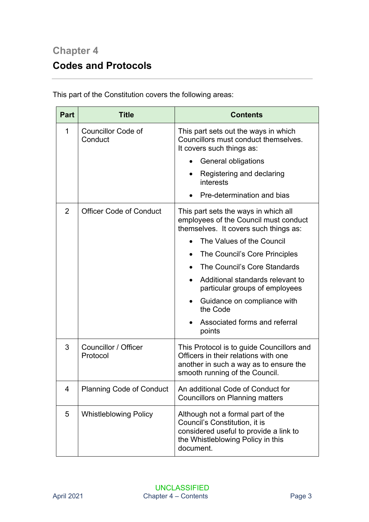## **Chapter 4**

## **Codes and Protocols**

This part of the Constitution covers the following areas:

| <b>Part</b>                                      | <b>Title</b>                         | <b>Contents</b>                                                                                                                                                |  |
|--------------------------------------------------|--------------------------------------|----------------------------------------------------------------------------------------------------------------------------------------------------------------|--|
| 1                                                | <b>Councillor Code of</b><br>Conduct | This part sets out the ways in which<br>Councillors must conduct themselves.<br>It covers such things as:                                                      |  |
|                                                  |                                      | General obligations                                                                                                                                            |  |
|                                                  |                                      | Registering and declaring<br>$\bullet$<br>interests                                                                                                            |  |
|                                                  |                                      | Pre-determination and bias                                                                                                                                     |  |
| $\overline{2}$<br><b>Officer Code of Conduct</b> |                                      | This part sets the ways in which all<br>employees of the Council must conduct<br>themselves. It covers such things as:                                         |  |
|                                                  |                                      | The Values of the Council                                                                                                                                      |  |
|                                                  |                                      | The Council's Core Principles                                                                                                                                  |  |
|                                                  |                                      | The Council's Core Standards                                                                                                                                   |  |
|                                                  |                                      | Additional standards relevant to<br>particular groups of employees                                                                                             |  |
|                                                  |                                      | Guidance on compliance with<br>$\bullet$<br>the Code                                                                                                           |  |
|                                                  |                                      | Associated forms and referral<br>points                                                                                                                        |  |
| 3                                                | Councillor / Officer<br>Protocol     | This Protocol is to guide Councillors and<br>Officers in their relations with one<br>another in such a way as to ensure the<br>smooth running of the Council.  |  |
| 4                                                | <b>Planning Code of Conduct</b>      | An additional Code of Conduct for<br><b>Councillors on Planning matters</b>                                                                                    |  |
| 5                                                | <b>Whistleblowing Policy</b>         | Although not a formal part of the<br>Council's Constitution, it is<br>considered useful to provide a link to<br>the Whistleblowing Policy in this<br>document. |  |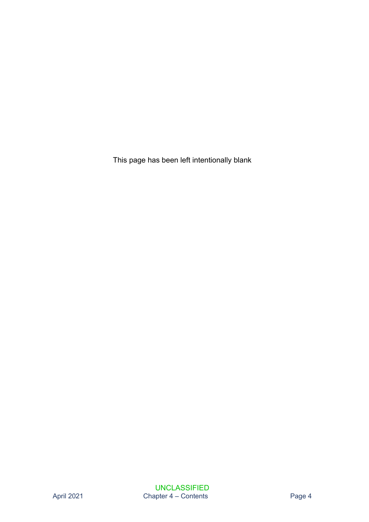This page has been left intentionally blank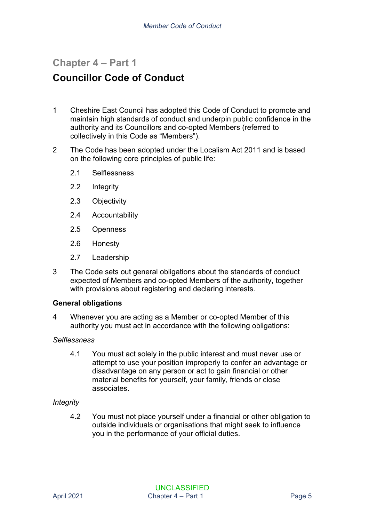## **Chapter 4 – Part 1**

## <span id="page-4-0"></span>**Councillor Code of Conduct**

- 1 Cheshire East Council has adopted this Code of Conduct to promote and maintain high standards of conduct and underpin public confidence in the authority and its Councillors and co-opted Members (referred to collectively in this Code as "Members").
- 2 The Code has been adopted under the Localism Act 2011 and is based on the following core principles of public life:
	- 2.1 Selflessness
	- 2.2 Integrity
	- 2.3 Objectivity
	- 2.4 Accountability
	- 2.5 Openness
	- 2.6 Honesty
	- 2.7 Leadership
- 3 The Code sets out general obligations about the standards of conduct expected of Members and co-opted Members of the authority, together with provisions about registering and declaring interests.

#### **General obligations**

4 Whenever you are acting as a Member or co-opted Member of this authority you must act in accordance with the following obligations:

#### *Selflessness*

4.1 You must act solely in the public interest and must never use or attempt to use your position improperly to confer an advantage or disadvantage on any person or act to gain financial or other material benefits for yourself, your family, friends or close associates.

#### *Integrity*

4.2 You must not place yourself under a financial or other obligation to outside individuals or organisations that might seek to influence you in the performance of your official duties.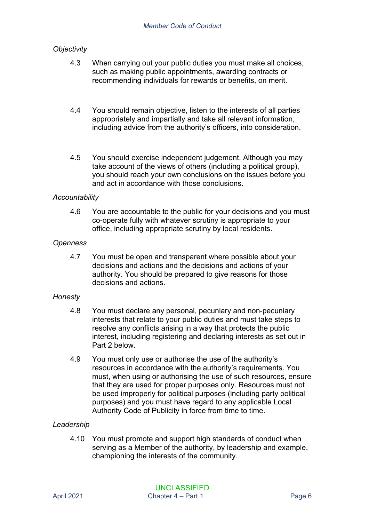#### *Objectivity*

- 4.3 When carrying out your public duties you must make all choices, such as making public appointments, awarding contracts or recommending individuals for rewards or benefits, on merit.
- 4.4 You should remain objective, listen to the interests of all parties appropriately and impartially and take all relevant information, including advice from the authority's officers, into consideration.
- 4.5 You should exercise independent judgement. Although you may take account of the views of others (including a political group), you should reach your own conclusions on the issues before you and act in accordance with those conclusions.

#### *Accountability*

4.6 You are accountable to the public for your decisions and you must co-operate fully with whatever scrutiny is appropriate to your office, including appropriate scrutiny by local residents.

#### *Openness*

4.7 You must be open and transparent where possible about your decisions and actions and the decisions and actions of your authority. You should be prepared to give reasons for those decisions and actions.

#### *Honesty*

- 4.8 You must declare any personal, pecuniary and non-pecuniary interests that relate to your public duties and must take steps to resolve any conflicts arising in a way that protects the public interest, including registering and declaring interests as set out in Part 2 below.
- 4.9 You must only use or authorise the use of the authority's resources in accordance with the authority's requirements. You must, when using or authorising the use of such resources, ensure that they are used for proper purposes only. Resources must not be used improperly for political purposes (including party political purposes) and you must have regard to any applicable Local Authority Code of Publicity in force from time to time.

#### *Leadership*

4.10 You must promote and support high standards of conduct when serving as a Member of the authority, by leadership and example, championing the interests of the community.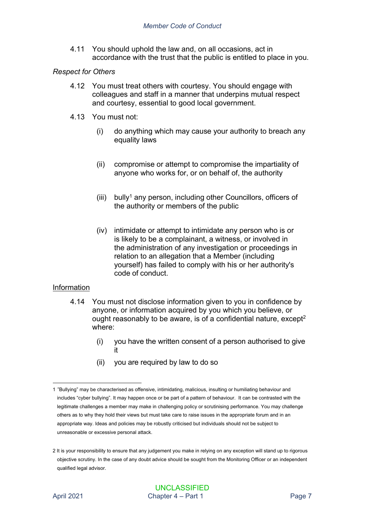4.11 You should uphold the law and, on all occasions, act in accordance with the trust that the public is entitled to place in you.

#### *Respect for Others*

- 4.12 You must treat others with courtesy. You should engage with colleagues and staff in a manner that underpins mutual respect and courtesy, essential to good local government.
- 4.13 You must not:
	- (i) do anything which may cause your authority to breach any equality laws
	- (ii) compromise or attempt to compromise the impartiality of anyone who works for, or on behalf of, the authority
	- (iii) bully <sup>1</sup> any person, including other Councillors, officers of the authority or members of the public
	- (iv) intimidate or attempt to intimidate any person who is or is likely to be a complainant, a witness, or involved in the administration of any investigation or proceedings in relation to an allegation that a Member (including yourself) has failed to comply with his or her authority's code of conduct.

#### Information

- 4.14 You must not disclose information given to you in confidence by anyone, or information acquired by you which you believe, or ought reasonably to be aware, is of a confidential nature,  $except<sup>2</sup>$ where:
	- (i) you have the written consent of a person authorised to give it
	- (ii) you are required by law to do so

<sup>1</sup> "Bullying" may be characterised as offensive, intimidating, malicious, insulting or humiliating behaviour and includes "cyber bullying". It may happen once or be part of a pattern of behaviour. It can be contrasted with the legitimate challenges a member may make in challenging policy or scrutinising performance. You may challenge others as to why they hold their views but must take care to raise issues in the appropriate forum and in an appropriate way. Ideas and policies may be robustly criticised but individuals should not be subject to unreasonable or excessive personal attack.

<sup>2</sup> It is your responsibility to ensure that any judgement you make in relying on any exception will stand up to rigorous objective scrutiny. In the case of any doubt advice should be sought from the Monitoring Officer or an independent qualified legal advisor.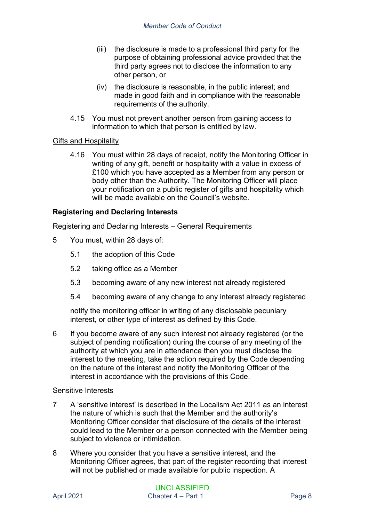- (iii) the disclosure is made to a professional third party for the purpose of obtaining professional advice provided that the third party agrees not to disclose the information to any other person, or
- (iv) the disclosure is reasonable, in the public interest; and made in good faith and in compliance with the reasonable requirements of the authority.
- 4.15 You must not prevent another person from gaining access to information to which that person is entitled by law.

#### Gifts and Hospitality

4.16 You must within 28 days of receipt, notify the Monitoring Officer in writing of any gift, benefit or hospitality with a value in excess of £100 which you have accepted as a Member from any person or body other than the Authority. The Monitoring Officer will place your notification on a public register of gifts and hospitality which will be made available on the Council's website.

#### **Registering and Declaring Interests**

#### Registering and Declaring Interests – General Requirements

- 5 You must, within 28 days of:
	- 5.1 the adoption of this Code
	- 5.2 taking office as a Member
	- 5.3 becoming aware of any new interest not already registered
	- 5.4 becoming aware of any change to any interest already registered

notify the monitoring officer in writing of any disclosable pecuniary interest, or other type of interest as defined by this Code.

6 If you become aware of any such interest not already registered (or the subject of pending notification) during the course of any meeting of the authority at which you are in attendance then you must disclose the interest to the meeting, take the action required by the Code depending on the nature of the interest and notify the Monitoring Officer of the interest in accordance with the provisions of this Code.

#### Sensitive Interests

- 7 A 'sensitive interest' is described in the Localism Act 2011 as an interest the nature of which is such that the Member and the authority's Monitoring Officer consider that disclosure of the details of the interest could lead to the Member or a person connected with the Member being subject to violence or intimidation.
- 8 Where you consider that you have a sensitive interest, and the Monitoring Officer agrees, that part of the register recording that interest will not be published or made available for public inspection. A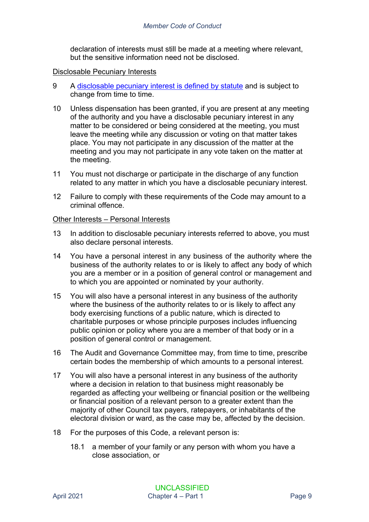declaration of interests must still be made at a meeting where relevant, but the sensitive information need not be disclosed.

#### Disclosable Pecuniary Interests

- 9 A [disclosable](https://www.gov.uk/government/uploads/system/uploads/attachment_data/file/240134/Openness_and_transparency_on_personal_interests.pdf) pecuniary interest is defined by statute and is subject to change from time to time.
- 10 Unless dispensation has been granted, if you are present at any meeting of the authority and you have a disclosable pecuniary interest in any matter to be considered or being considered at the meeting, you must leave the meeting while any discussion or voting on that matter takes place. You may not participate in any discussion of the matter at the meeting and you may not participate in any vote taken on the matter at the meeting.
- 11 You must not discharge or participate in the discharge of any function related to any matter in which you have a disclosable pecuniary interest.
- 12 Failure to comply with these requirements of the Code may amount to a criminal offence.

#### Other Interests – Personal Interests

- 13 In addition to disclosable pecuniary interests referred to above, you must also declare personal interests.
- 14 You have a personal interest in any business of the authority where the business of the authority relates to or is likely to affect any body of which you are a member or in a position of general control or management and to which you are appointed or nominated by your authority.
- 15 You will also have a personal interest in any business of the authority where the business of the authority relates to or is likely to affect any body exercising functions of a public nature, which is directed to charitable purposes or whose principle purposes includes influencing public opinion or policy where you are a member of that body or in a position of general control or management.
- 16 The Audit and Governance Committee may, from time to time, prescribe certain bodes the membership of which amounts to a personal interest.
- 17 You will also have a personal interest in any business of the authority where a decision in relation to that business might reasonably be regarded as affecting your wellbeing or financial position or the wellbeing or financial position of a relevant person to a greater extent than the majority of other Council tax payers, ratepayers, or inhabitants of the electoral division or ward, as the case may be, affected by the decision.
- 18 For the purposes of this Code, a relevant person is:
	- 18.1 a member of your family or any person with whom you have a close association, or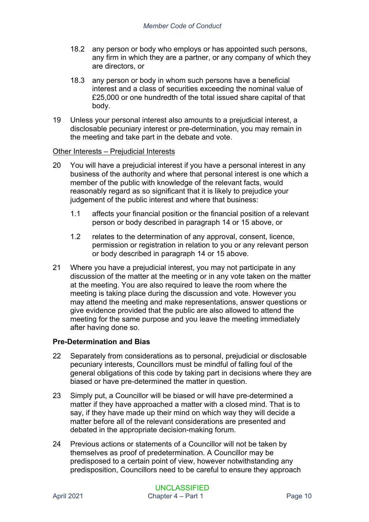- 18.2 any person or body who employs or has appointed such persons, any firm in which they are a partner, or any company of which they are directors, or
- 18.3 any person or body in whom such persons have a beneficial interest and a class of securities exceeding the nominal value of £25,000 or one hundredth of the total issued share capital of that body.
- 19 Unless your personal interest also amounts to a prejudicial interest, a disclosable pecuniary interest or pre-determination, you may remain in the meeting and take part in the debate and vote.

#### Other Interests – Prejudicial Interests

- 20 You will have a prejudicial interest if you have a personal interest in any business of the authority and where that personal interest is one which a member of the public with knowledge of the relevant facts, would reasonably regard as so significant that it is likely to prejudice your judgement of the public interest and where that business:
	- 1.1 affects your financial position or the financial position of a relevant person or body described in paragraph 14 or 15 above, or
	- 1.2 relates to the determination of any approval, consent, licence, permission or registration in relation to you or any relevant person or body described in paragraph 14 or 15 above.
- 21 Where you have a prejudicial interest, you may not participate in any discussion of the matter at the meeting or in any vote taken on the matter at the meeting. You are also required to leave the room where the meeting is taking place during the discussion and vote. However you may attend the meeting and make representations, answer questions or give evidence provided that the public are also allowed to attend the meeting for the same purpose and you leave the meeting immediately after having done so.

#### **Pre-Determination and Bias**

- 22 Separately from considerations as to personal, prejudicial or disclosable pecuniary interests, Councillors must be mindful of falling foul of the general obligations of this code by taking part in decisions where they are biased or have pre-determined the matter in question.
- 23 Simply put, a Councillor will be biased or will have pre-determined a matter if they have approached a matter with a closed mind. That is to say, if they have made up their mind on which way they will decide a matter before all of the relevant considerations are presented and debated in the appropriate decision-making forum.
- 24 Previous actions or statements of a Councillor will not be taken by themselves as proof of predetermination. A Councillor may be predisposed to a certain point of view, however notwithstanding any predisposition, Councillors need to be careful to ensure they approach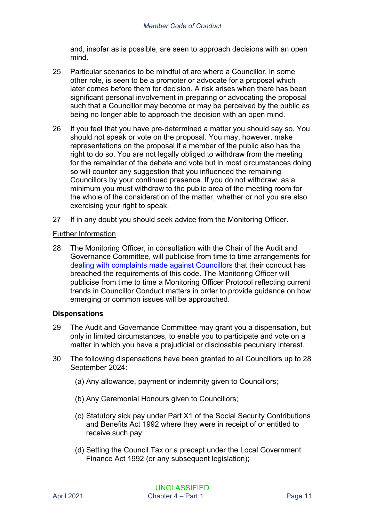and, insofar as is possible, are seen to approach decisions with an open mind.

- 25 Particular scenarios to be mindful of are where a Councillor, in some other role, is seen to be a promoter or advocate for a proposal which later comes before them for decision. A risk arises when there has been significant personal involvement in preparing or advocating the proposal such that a Councillor may become or may be perceived by the public as being no longer able to approach the decision with an open mind.
- 26 If you feel that you have pre-determined a matter you should say so. You should not speak or vote on the proposal. You may, however, make representations on the proposal if a member of the public also has the right to do so. You are not legally obliged to withdraw from the meeting for the remainder of the debate and vote but in most circumstances doing so will counter any suggestion that you influenced the remaining Councillors by your continued presence. If you do not withdraw, as a minimum you must withdraw to the public area of the meeting room for the whole of the consideration of the matter, whether or not you are also exercising your right to speak.
- 27 If in any doubt you should seek advice from the Monitoring Officer.

#### Further Information

28 The Monitoring Officer, in consultation with the Chair of the Audit and Governance Committee, will publicise from time to time arrangements for dealing with complaints made against [Councillors](http://www.cheshireeast.gov.uk/council_and_democracy/your_council/councillor_conduct.aspx) that their conduct has breached the requirements of this code. The Monitoring Officer will publicise from time to time a Monitoring Officer Protocol reflecting current trends in Councillor Conduct matters in order to provide guidance on how emerging or common issues will be approached.

#### **Dispensations**

- 29 The Audit and Governance Committee may grant you a dispensation, but only in limited circumstances, to enable you to participate and vote on a matter in which you have a prejudicial or disclosable pecuniary interest.
- 30 The following dispensations have been granted to all Councillors up to 28 September 2024:
	- (a) Any allowance, payment or indemnity given to Councillors;
	- (b) Any Ceremonial Honours given to Councillors;
	- (c) Statutory sick pay under Part X1 of the Social Security Contributions and Benefits Act 1992 where they were in receipt of or entitled to receive such pay;
	- (d) Setting the Council Tax or a precept under the Local Government Finance Act 1992 (or any subsequent legislation);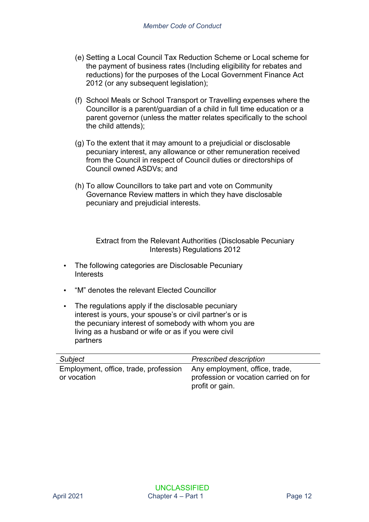- (e) Setting a Local Council Tax Reduction Scheme or Local scheme for the payment of business rates (Including eligibility for rebates and reductions) for the purposes of the Local Government Finance Act 2012 (or any subsequent legislation);
- (f) School Meals or School Transport or Travelling expenses where the Councillor is a parent/guardian of a child in full time education or a parent governor (unless the matter relates specifically to the school the child attends);
- (g) To the extent that it may amount to a prejudicial or disclosable pecuniary interest, any allowance or other remuneration received from the Council in respect of Council duties or directorships of Council owned ASDVs; and
- (h) To allow Councillors to take part and vote on Community Governance Review matters in which they have disclosable pecuniary and prejudicial interests.

Extract from the Relevant Authorities (Disclosable Pecuniary Interests) Regulations 2012

- The following categories are Disclosable Pecuniary  $\bullet$ Interests
- "M" denotes the relevant Elected Councillor
- The regulations apply if the disclosable pecuniary interest is yours, your spouse's or civil partner's or is the pecuniary interest of somebody with whom you are living as a husband or wife or as if you were civil partners

| Any employment, office, trade,<br>profession or vocation carried on for |
|-------------------------------------------------------------------------|
|                                                                         |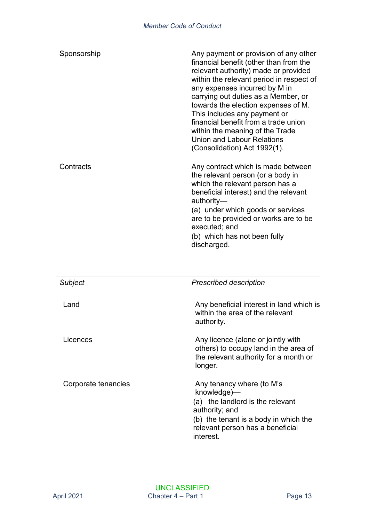| Sponsorship | Any payment or provision of any other<br>financial benefit (other than from the<br>relevant authority) made or provided<br>within the relevant period in respect of<br>any expenses incurred by M in<br>carrying out duties as a Member, or<br>towards the election expenses of M.<br>This includes any payment or<br>financial benefit from a trade union<br>within the meaning of the Trade<br>Union and Labour Relations<br>(Consolidation) Act 1992(1). |
|-------------|-------------------------------------------------------------------------------------------------------------------------------------------------------------------------------------------------------------------------------------------------------------------------------------------------------------------------------------------------------------------------------------------------------------------------------------------------------------|
| Contracts   | Any contract which is made between<br>the relevant person (or a body in<br>which the relevant person has a<br>beneficial interest) and the relevant<br>authority-<br>(a) under which goods or services<br>are to be provided or works are to be<br>executed; and<br>(b) which has not been fully<br>discharged.                                                                                                                                             |

| <b>Subject</b>      | <b>Prescribed description</b>                                                                                                                                                            |  |
|---------------------|------------------------------------------------------------------------------------------------------------------------------------------------------------------------------------------|--|
| Land                | Any beneficial interest in land which is<br>within the area of the relevant<br>authority.                                                                                                |  |
| Licences            | Any licence (alone or jointly with<br>others) to occupy land in the area of<br>the relevant authority for a month or<br>longer.                                                          |  |
| Corporate tenancies | Any tenancy where (to M's<br>knowledge)—<br>(a) the landlord is the relevant<br>authority; and<br>(b) the tenant is a body in which the<br>relevant person has a beneficial<br>interest. |  |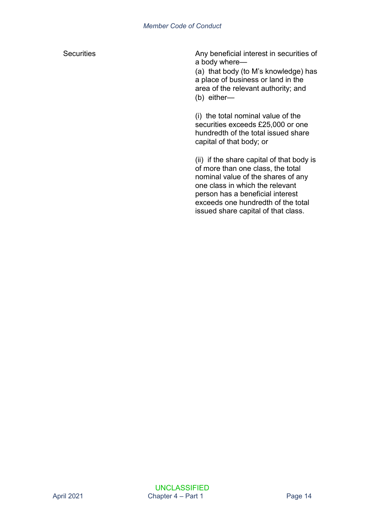Securities **Any beneficial interest in securities of** Any beneficial interest in securities of a body where—

> (a) that body (to M's knowledge) has a place of business or land in the area of the relevant authority; and (b) either—

(i) the total nominal value of the securities exceeds £25,000 or one hundredth of the total issued share capital of that body; or

(ii) if the share capital of that body is of more than one class, the total nominal value of the shares of any one class in which the relevant person has a beneficial interest exceeds one hundredth of the total issued share capital of that class.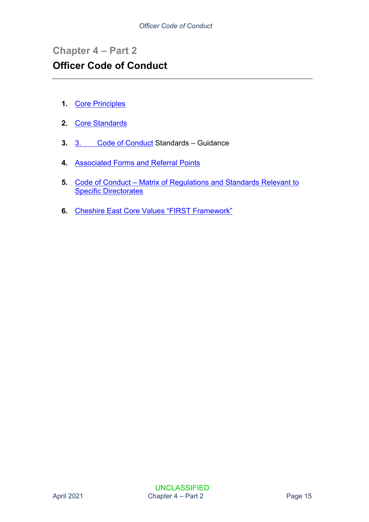## **Chapter 4 – Part 2**

## <span id="page-14-0"></span>**Officer Code of Conduct**

- **1.** Core [Principles](#page-16-0)
- **2.** Core [Standards](#page-17-0)
- **3.** 3. Code of Conduct [Standards](#page-18-0) Guidance
- **4.** [Associated](#page-25-0) Forms and Referral Points
- **5.** Code of Conduct Matrix of [Regulations](#page-26-0) and Standards Relevant to Specific [Directorates](#page-26-0)
- **6.** Cheshire East Core Values "FIRST [Framework"](#page-26-1)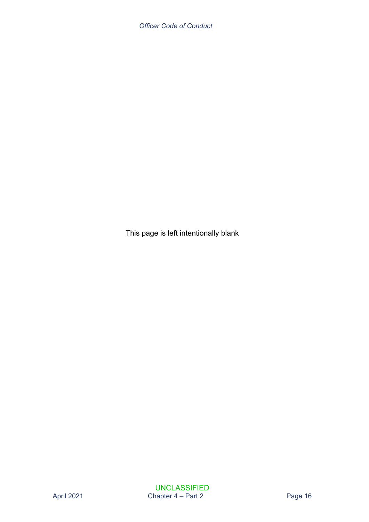This page is left intentionally blank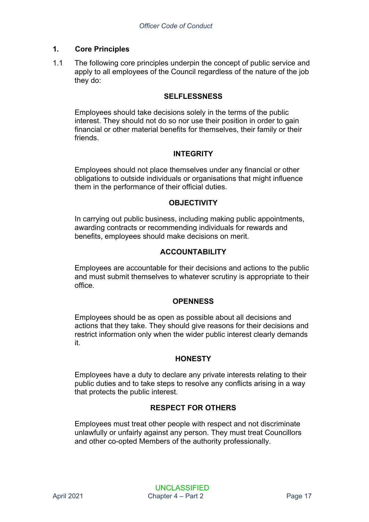#### <span id="page-16-0"></span>**1. Core Principles**

1.1 The following core principles underpin the concept of public service and apply to all employees of the Council regardless of the nature of the job they do:

#### **SELFLESSNESS**

Employees should take decisions solely in the terms of the public interest. They should not do so nor use their position in order to gain financial or other material benefits for themselves, their family or their friends.

#### **INTEGRITY**

Employees should not place themselves under any financial or other obligations to outside individuals or organisations that might influence them in the performance of their official duties.

#### **OBJECTIVITY**

In carrying out public business, including making public appointments, awarding contracts or recommending individuals for rewards and benefits, employees should make decisions on merit.

#### **ACCOUNTABILITY**

Employees are accountable for their decisions and actions to the public and must submit themselves to whatever scrutiny is appropriate to their office.

#### **OPENNESS**

Employees should be as open as possible about all decisions and actions that they take. They should give reasons for their decisions and restrict information only when the wider public interest clearly demands it.

#### **HONESTY**

Employees have a duty to declare any private interests relating to their public duties and to take steps to resolve any conflicts arising in a way that protects the public interest.

#### **RESPECT FOR OTHERS**

Employees must treat other people with respect and not discriminate unlawfully or unfairly against any person. They must treat Councillors and other co-opted Members of the authority professionally.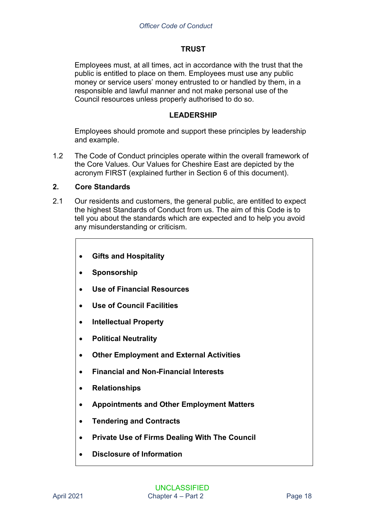#### **TRUST**

Employees must, at all times, act in accordance with the trust that the public is entitled to place on them. Employees must use any public money or service users' money entrusted to or handled by them, in a responsible and lawful manner and not make personal use of the Council resources unless properly authorised to do so.

#### **LEADERSHIP**

Employees should promote and support these principles by leadership and example.

1.2 The Code of Conduct principles operate within the overall framework of the Core Values. Our Values for Cheshire East are depicted by the acronym FIRST (explained further in Section 6 of this document).

#### <span id="page-17-0"></span>**2. Core Standards**

- 2.1 Our residents and customers, the general public, are entitled to expect the highest Standards of Conduct from us. The aim of this Code is to tell you about the standards which are expected and to help you avoid any misunderstanding or criticism.
	- **Gifts and Hospitality**
	- **Sponsorship**
	- **Use of Financial Resources**
	- **Use of Council Facilities**
	- **Intellectual Property**
	- **Political Neutrality**
	- **Other Employment and External Activities**
	- **Financial and Non-Financial Interests**
	- **Relationships**
	- **Appointments and Other Employment Matters**
	- **Tendering and Contracts**
	- **Private Use of Firms Dealing With The Council**
	- **Disclosure of Information**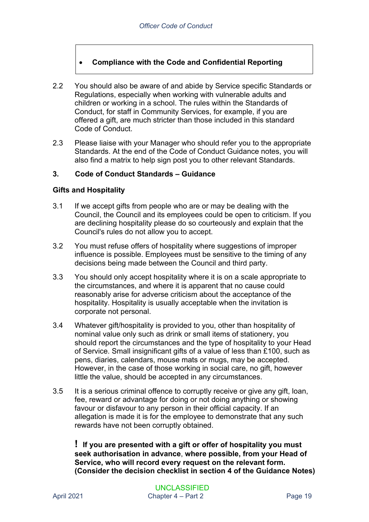#### **Compliance with the Code and Confidential Reporting**

- 2.2 You should also be aware of and abide by Service specific Standards or Regulations, especially when working with vulnerable adults and children or working in a school. The rules within the Standards of Conduct, for staff in Community Services, for example, if you are offered a gift, are much stricter than those included in this standard Code of Conduct.
- 2.3 Please liaise with your Manager who should refer you to the appropriate Standards. At the end of the Code of Conduct Guidance notes, you will also find a matrix to help sign post you to other relevant Standards.

#### <span id="page-18-0"></span>**3. Code of Conduct Standards – Guidance**

#### **Gifts and Hospitality**

- 3.1 If we accept gifts from people who are or may be dealing with the Council, the Council and its employees could be open to criticism. If you are declining hospitality please do so courteously and explain that the Council's rules do not allow you to accept.
- 3.2 You must refuse offers of hospitality where suggestions of improper influence is possible. Employees must be sensitive to the timing of any decisions being made between the Council and third party.
- 3.3 You should only accept hospitality where it is on a scale appropriate to the circumstances, and where it is apparent that no cause could reasonably arise for adverse criticism about the acceptance of the hospitality. Hospitality is usually acceptable when the invitation is corporate not personal.
- 3.4 Whatever gift/hospitality is provided to you, other than hospitality of nominal value only such as drink or small items of stationery, you should report the circumstances and the type of hospitality to your Head of Service. Small insignificant gifts of a value of less than £100, such as pens, diaries, calendars, mouse mats or mugs, may be accepted. However, in the case of those working in social care, no gift, however little the value, should be accepted in any circumstances.
- 3.5 It is a serious criminal offence to corruptly receive or give any gift, loan, fee, reward or advantage for doing or not doing anything or showing favour or disfavour to any person in their official capacity. If an allegation is made it is for the employee to demonstrate that any such rewards have not been corruptly obtained.

**! If you are presented with a gift or offer of hospitality you must seek authorisation in advance**, **where possible, from your Head of Service, who will record every request on the relevant form. (Consider the decision checklist in section 4 of the Guidance Notes)**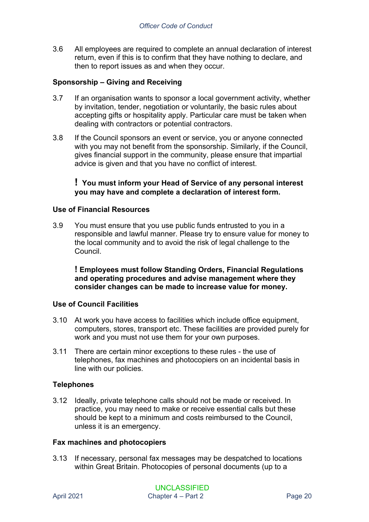3.6 All employees are required to complete an annual declaration of interest return, even if this is to confirm that they have nothing to declare, and then to report issues as and when they occur.

#### **Sponsorship – Giving and Receiving**

- 3.7 If an organisation wants to sponsor a local government activity, whether by invitation, tender, negotiation or voluntarily, the basic rules about accepting gifts or hospitality apply. Particular care must be taken when dealing with contractors or potential contractors.
- 3.8 If the Council sponsors an event or service, you or anyone connected with you may not benefit from the sponsorship. Similarly, if the Council, gives financial support in the community, please ensure that impartial advice is given and that you have no conflict of interest.

#### **! You must inform your Head of Service of any personal interest you may have and complete a declaration of interest form.**

#### **Use of Financial Resources**

3.9 You must ensure that you use public funds entrusted to you in a responsible and lawful manner. Please try to ensure value for money to the local community and to avoid the risk of legal challenge to the Council.

**! Employees must follow Standing Orders, Financial Regulations and operating procedures and advise management where they consider changes can be made to increase value for money.**

#### **Use of Council Facilities**

- 3.10 At work you have access to facilities which include office equipment, computers, stores, transport etc. These facilities are provided purely for work and you must not use them for your own purposes.
- 3.11 There are certain minor exceptions to these rules the use of telephones, fax machines and photocopiers on an incidental basis in line with our policies.

#### **Telephones**

3.12 Ideally, private telephone calls should not be made or received. In practice, you may need to make or receive essential calls but these should be kept to a minimum and costs reimbursed to the Council, unless it is an emergency.

#### **Fax machines and photocopiers**

3.13 If necessary, personal fax messages may be despatched to locations within Great Britain. Photocopies of personal documents (up to a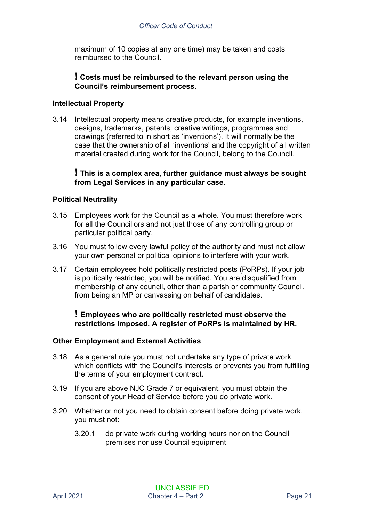maximum of 10 copies at any one time) may be taken and costs reimbursed to the Council.

#### **! Costs must be reimbursed to the relevant person using the Council's reimbursement process.**

#### **Intellectual Property**

3.14 Intellectual property means creative products, for example inventions, designs, trademarks, patents, creative writings, programmes and drawings (referred to in short as 'inventions'). It will normally be the case that the ownership of all 'inventions' and the copyright of all written material created during work for the Council, belong to the Council.

**! This is a complex area, further guidance must always be sought from Legal Services in any particular case.**

#### **Political Neutrality**

- 3.15 Employees work for the Council as a whole. You must therefore work for all the Councillors and not just those of any controlling group or particular political party.
- 3.16 You must follow every lawful policy of the authority and must not allow your own personal or political opinions to interfere with your work.
- 3.17 Certain employees hold politically restricted posts (PoRPs). If your job is politically restricted, you will be notified. You are disqualified from membership of any council, other than a parish or community Council, from being an MP or canvassing on behalf of candidates.

**! Employees who are politically restricted must observe the restrictions imposed. A register of PoRPs is maintained by HR.**

#### **Other Employment and External Activities**

- 3.18 As a general rule you must not undertake any type of private work which conflicts with the Council's interests or prevents you from fulfilling the terms of your employment contract.
- 3.19 If you are above NJC Grade 7 or equivalent, you must obtain the consent of your Head of Service before you do private work.
- 3.20 Whether or not you need to obtain consent before doing private work, you must not:
	- 3.20.1 do private work during working hours nor on the Council premises nor use Council equipment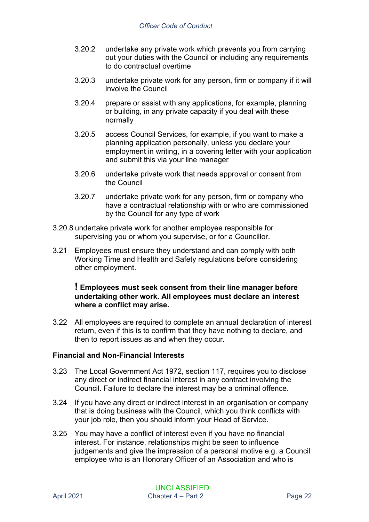- 3.20.2 undertake any private work which prevents you from carrying out your duties with the Council or including any requirements to do contractual overtime
- 3.20.3 undertake private work for any person, firm or company if it will involve the Council
- 3.20.4 prepare or assist with any applications, for example, planning or building, in any private capacity if you deal with these normally
- 3.20.5 access Council Services, for example, if you want to make a planning application personally, unless you declare your employment in writing, in a covering letter with your application and submit this via your line manager
- 3.20.6 undertake private work that needs approval or consent from the Council
- 3.20.7 undertake private work for any person, firm or company who have a contractual relationship with or who are commissioned by the Council for any type of work
- 3.20.8 undertake private work for another employee responsible for supervising you or whom you supervise, or for a Councillor.
- 3.21 Employees must ensure they understand and can comply with both Working Time and Health and Safety regulations before considering other employment.

#### **! Employees must seek consent from their line manager before undertaking other work. All employees must declare an interest where a conflict may arise.**

3.22 All employees are required to complete an annual declaration of interest return, even if this is to confirm that they have nothing to declare, and then to report issues as and when they occur.

#### **Financial and Non-Financial Interests**

- 3.23 The Local Government Act 1972, section 117, requires you to disclose any direct or indirect financial interest in any contract involving the Council. Failure to declare the interest may be a criminal offence.
- 3.24 If you have any direct or indirect interest in an organisation or company that is doing business with the Council, which you think conflicts with your job role, then you should inform your Head of Service.
- 3.25 You may have a conflict of interest even if you have no financial interest. For instance, relationships might be seen to influence judgements and give the impression of a personal motive e.g. a Council employee who is an Honorary Officer of an Association and who is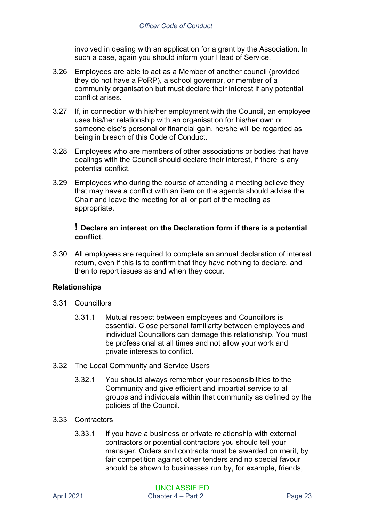involved in dealing with an application for a grant by the Association. In such a case, again you should inform your Head of Service.

- 3.26 Employees are able to act as a Member of another council (provided they do not have a PoRP), a school governor, or member of a community organisation but must declare their interest if any potential conflict arises.
- 3.27 If, in connection with his/her employment with the Council, an employee uses his/her relationship with an organisation for his/her own or someone else's personal or financial gain, he/she will be regarded as being in breach of this Code of Conduct.
- 3.28 Employees who are members of other associations or bodies that have dealings with the Council should declare their interest, if there is any potential conflict.
- 3.29 Employees who during the course of attending a meeting believe they that may have a conflict with an item on the agenda should advise the Chair and leave the meeting for all or part of the meeting as appropriate.

#### **! Declare an interest on the Declaration form if there is a potential conflict**.

3.30 All employees are required to complete an annual declaration of interest return, even if this is to confirm that they have nothing to declare, and then to report issues as and when they occur.

#### **Relationships**

- 3.31 Councillors
	- 3.31.1 Mutual respect between employees and Councillors is essential. Close personal familiarity between employees and individual Councillors can damage this relationship. You must be professional at all times and not allow your work and private interests to conflict.
- 3.32 The Local Community and Service Users
	- 3.32.1 You should always remember your responsibilities to the Community and give efficient and impartial service to all groups and individuals within that community as defined by the policies of the Council.
- 3.33 Contractors
	- 3.33.1 If you have a business or private relationship with external contractors or potential contractors you should tell your manager. Orders and contracts must be awarded on merit, by fair competition against other tenders and no special favour should be shown to businesses run by, for example, friends,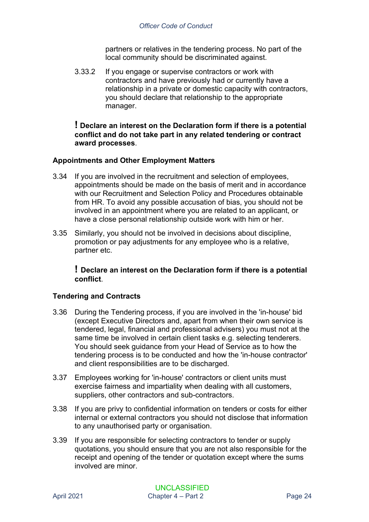partners or relatives in the tendering process. No part of the local community should be discriminated against.

3.33.2 If you engage or supervise contractors or work with contractors and have previously had or currently have a relationship in a private or domestic capacity with contractors, you should declare that relationship to the appropriate manager.

#### **! Declare an interest on the Declaration form if there is a potential conflict and do not take part in any related tendering or contract award processes**.

#### **Appointments and Other Employment Matters**

- 3.34 If you are involved in the recruitment and selection of employees, appointments should be made on the basis of merit and in accordance with our Recruitment and Selection Policy and Procedures obtainable from HR. To avoid any possible accusation of bias, you should not be involved in an appointment where you are related to an applicant, or have a close personal relationship outside work with him or her.
- 3.35 Similarly, you should not be involved in decisions about discipline, promotion or pay adjustments for any employee who is a relative, partner etc.

**! Declare an interest on the Declaration form if there is a potential conflict**.

#### **Tendering and Contracts**

- 3.36 During the Tendering process, if you are involved in the 'in-house' bid (except Executive Directors and, apart from when their own service is tendered, legal, financial and professional advisers) you must not at the same time be involved in certain client tasks e.g. selecting tenderers. You should seek guidance from your Head of Service as to how the tendering process is to be conducted and how the 'in-house contractor' and client responsibilities are to be discharged.
- 3.37 Employees working for 'in-house' contractors or client units must exercise fairness and impartiality when dealing with all customers, suppliers, other contractors and sub-contractors.
- 3.38 If you are privy to confidential information on tenders or costs for either internal or external contractors you should not disclose that information to any unauthorised party or organisation.
- 3.39 If you are responsible for selecting contractors to tender or supply quotations, you should ensure that you are not also responsible for the receipt and opening of the tender or quotation except where the sums involved are minor.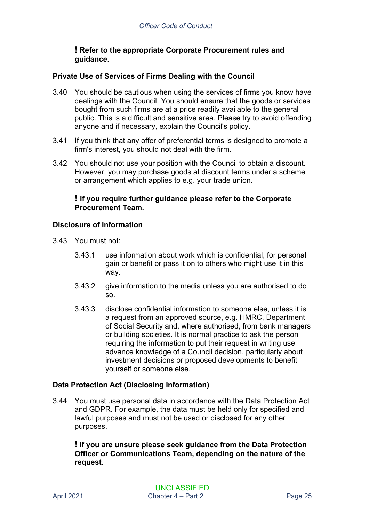#### **! Refer to the appropriate Corporate Procurement rules and guidance.**

#### **Private Use of Services of Firms Dealing with the Council**

- 3.40 You should be cautious when using the services of firms you know have dealings with the Council. You should ensure that the goods or services bought from such firms are at a price readily available to the general public. This is a difficult and sensitive area. Please try to avoid offending anyone and if necessary, explain the Council's policy.
- 3.41 If you think that any offer of preferential terms is designed to promote a firm's interest, you should not deal with the firm.
- 3.42 You should not use your position with the Council to obtain a discount. However, you may purchase goods at discount terms under a scheme or arrangement which applies to e.g. your trade union.

#### **! If you require further guidance please refer to the Corporate Procurement Team.**

#### **Disclosure of Information**

- 3.43 You must not:
	- 3.43.1 use information about work which is confidential, for personal gain or benefit or pass it on to others who might use it in this way.
	- 3.43.2 give information to the media unless you are authorised to do so.
	- 3.43.3 disclose confidential information to someone else, unless it is a request from an approved source, e.g. HMRC, Department of Social Security and, where authorised, from bank managers or building societies. It is normal practice to ask the person requiring the information to put their request in writing use advance knowledge of a Council decision, particularly about investment decisions or proposed developments to benefit yourself or someone else.

#### **Data Protection Act (Disclosing Information)**

3.44 You must use personal data in accordance with the Data Protection Act and GDPR. For example, the data must be held only for specified and lawful purposes and must not be used or disclosed for any other purposes.

**! If you are unsure please seek guidance from the Data Protection Officer or Communications Team, depending on the nature of the request.**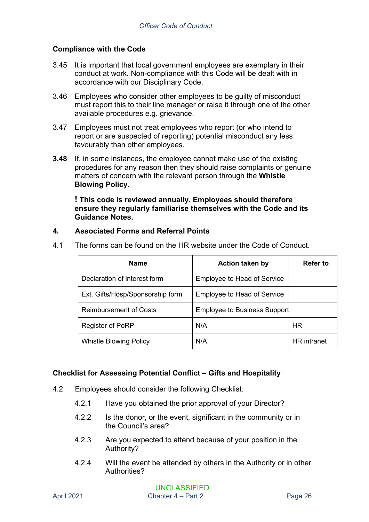#### **Compliance with the Code**

- 3.45 It is important that local government employees are exemplary in their conduct at work. Non-compliance with this Code will be dealt with in accordance with our Disciplinary Code.
- 3.46 Employees who consider other employees to be guilty of misconduct must report this to their line manager or raise it through one of the other available procedures e.g. grievance.
- 3.47 Employees must not treat employees who report (or who intend to report or are suspected of reporting) potential misconduct any less favourably than other employees.
- **3.48** If, in some instances, the employee cannot make use of the existing procedures for any reason then they should raise complaints or genuine matters of concern with the relevant person through the **Whistle Blowing Policy.**

**! This code is reviewed annually. Employees should therefore ensure they regularly familiarise themselves with the Code and its Guidance Notes.**

#### <span id="page-25-0"></span>**4. Associated Forms and Referral Points**

| <b>Name</b>                      | Action taken by                    | <b>Refer to</b>    |
|----------------------------------|------------------------------------|--------------------|
| Declaration of interest form     | Employee to Head of Service        |                    |
| Ext. Gifts/Hosp/Sponsorship form | <b>Employee to Head of Service</b> |                    |
| <b>Reimbursement of Costs</b>    | Employee to Business Support       |                    |
| <b>Register of PoRP</b>          | N/A                                | <b>HR</b>          |
| <b>Whistle Blowing Policy</b>    | N/A                                | <b>HR</b> intranet |

4.1 The forms can be found on the HR website under the Code of Conduct.

#### **Checklist for Assessing Potential Conflict – Gifts and Hospitality**

- 4.2 Employees should consider the following Checklist:
	- 4.2.1 Have you obtained the prior approval of your Director?
	- 4.2.2 Is the donor, or the event, significant in the community or in the Council's area?
	- 4.2.3 Are you expected to attend because of your position in the Authority?
	- 4.2.4 Will the event be attended by others in the Authority or in other Authorities?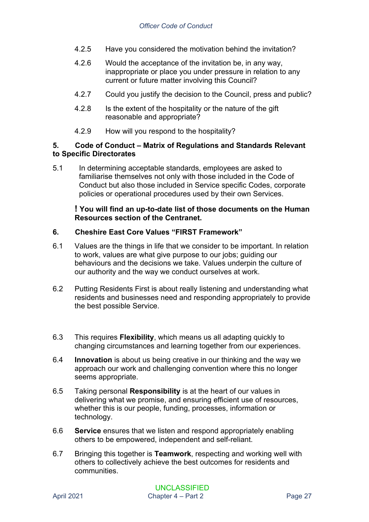- 4.2.5 Have you considered the motivation behind the invitation?
- 4.2.6 Would the acceptance of the invitation be, in any way, inappropriate or place you under pressure in relation to any current or future matter involving this Council?
- 4.2.7 Could you justify the decision to the Council, press and public?
- 4.2.8 Is the extent of the hospitality or the nature of the gift reasonable and appropriate?
- <span id="page-26-0"></span>4.2.9 How will you respond to the hospitality?

#### **5. Code of Conduct – Matrix of Regulations and Standards Relevant to Specific Directorates**

5.1 In determining acceptable standards, employees are asked to familiarise themselves not only with those included in the Code of Conduct but also those included in Service specific Codes, corporate policies or operational procedures used by their own Services.

#### <span id="page-26-1"></span>**! You will find an up-to-date list of those documents on the Human Resources section of the Centranet.**

#### **6. Cheshire East Core Values "FIRST Framework"**

- 6.1 Values are the things in life that we consider to be important. In relation to work, values are what give purpose to our jobs; guiding our behaviours and the decisions we take. Values underpin the culture of our authority and the way we conduct ourselves at work.
- 6.2 Putting Residents First is about really listening and understanding what residents and businesses need and responding appropriately to provide the best possible Service.
- 6.3 This requires **Flexibility**, which means us all adapting quickly to changing circumstances and learning together from our experiences.
- 6.4 **Innovation** is about us being creative in our thinking and the way we approach our work and challenging convention where this no longer seems appropriate.
- 6.5 Taking personal **Responsibility** is at the heart of our values in delivering what we promise, and ensuring efficient use of resources, whether this is our people, funding, processes, information or technology.
- 6.6 **Service** ensures that we listen and respond appropriately enabling others to be empowered, independent and self-reliant.
- 6.7 Bringing this together is **Teamwork**, respecting and working well with others to collectively achieve the best outcomes for residents and communities.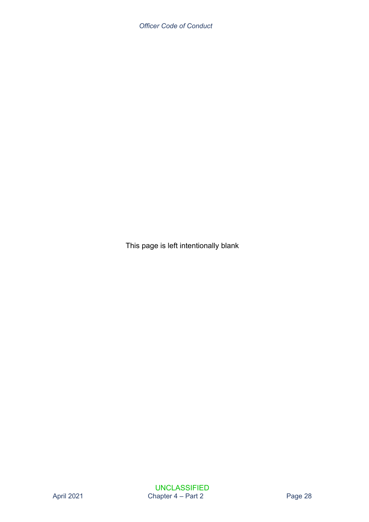This page is left intentionally blank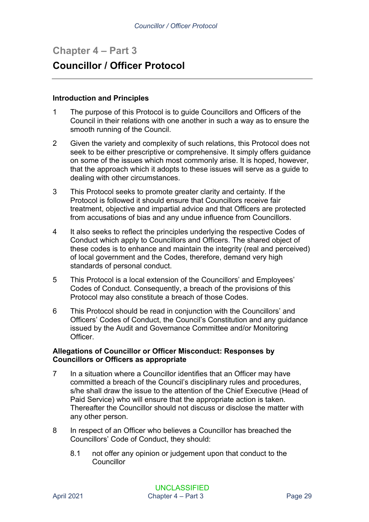**Chapter 4 – Part 3**

## <span id="page-28-0"></span>**Councillor / Officer Protocol**

#### **Introduction and Principles**

- 1 The purpose of this Protocol is to guide Councillors and Officers of the Council in their relations with one another in such a way as to ensure the smooth running of the Council.
- 2 Given the variety and complexity of such relations, this Protocol does not seek to be either prescriptive or comprehensive. It simply offers guidance on some of the issues which most commonly arise. It is hoped, however, that the approach which it adopts to these issues will serve as a guide to dealing with other circumstances.
- 3 This Protocol seeks to promote greater clarity and certainty. If the Protocol is followed it should ensure that Councillors receive fair treatment, objective and impartial advice and that Officers are protected from accusations of bias and any undue influence from Councillors.
- 4 It also seeks to reflect the principles underlying the respective Codes of Conduct which apply to Councillors and Officers. The shared object of these codes is to enhance and maintain the integrity (real and perceived) of local government and the Codes, therefore, demand very high standards of personal conduct.
- 5 This Protocol is a local extension of the Councillors' and Employees' Codes of Conduct. Consequently, a breach of the provisions of this Protocol may also constitute a breach of those Codes.
- 6 This Protocol should be read in conjunction with the Councillors' and Officers' Codes of Conduct, the Council's Constitution and any guidance issued by the Audit and Governance Committee and/or Monitoring Officer.

#### **Allegations of Councillor or Officer Misconduct: Responses by Councillors or Officers as appropriate**

- 7 In a situation where a Councillor identifies that an Officer may have committed a breach of the Council's disciplinary rules and procedures, s/he shall draw the issue to the attention of the Chief Executive (Head of Paid Service) who will ensure that the appropriate action is taken. Thereafter the Councillor should not discuss or disclose the matter with any other person.
- 8 In respect of an Officer who believes a Councillor has breached the Councillors' Code of Conduct, they should:
	- 8.1 not offer any opinion or judgement upon that conduct to the **Councillor**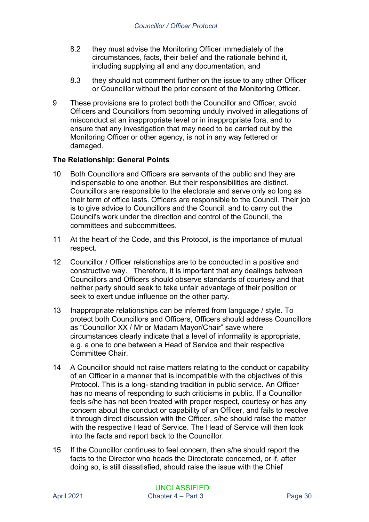- 8.2 they must advise the Monitoring Officer immediately of the circumstances, facts, their belief and the rationale behind it, including supplying all and any documentation, and
- 8.3 they should not comment further on the issue to any other Officer or Councillor without the prior consent of the Monitoring Officer.
- 9 These provisions are to protect both the Councillor and Officer, avoid Officers and Councillors from becoming unduly involved in allegations of misconduct at an inappropriate level or in inappropriate fora, and to ensure that any investigation that may need to be carried out by the Monitoring Officer or other agency, is not in any way fettered or damaged.

#### **The Relationship: General Points**

- 10 Both Councillors and Officers are servants of the public and they are indispensable to one another. But their responsibilities are distinct. Councillors are responsible to the electorate and serve only so long as their term of office lasts. Officers are responsible to the Council. Their job is to give advice to Councillors and the Council, and to carry out the Council's work under the direction and control of the Council, the committees and subcommittees.
- 11 At the heart of the Code, and this Protocol, is the importance of mutual respect.
- 12 Councillor / Officer relationships are to be conducted in a positive and constructive way. Therefore, it is important that any dealings between Councillors and Officers should observe standards of courtesy and that neither party should seek to take unfair advantage of their position or seek to exert undue influence on the other party.
- 13 Inappropriate relationships can be inferred from language / style. To protect both Councillors and Officers, Officers should address Councillors as "Councillor XX / Mr or Madam Mayor/Chair" save where circumstances clearly indicate that a level of informality is appropriate, e.g. a one to one between a Head of Service and their respective Committee Chair.
- 14 A Councillor should not raise matters relating to the conduct or capability of an Officer in a manner that is incompatible with the objectives of this Protocol. This is a long- standing tradition in public service. An Officer has no means of responding to such criticisms in public. If a Councillor feels s/he has not been treated with proper respect, courtesy or has any concern about the conduct or capability of an Officer, and fails to resolve it through direct discussion with the Officer, s/he should raise the matter with the respective Head of Service. The Head of Service will then look into the facts and report back to the Councillor.
- 15 If the Councillor continues to feel concern, then s/he should report the facts to the Director who heads the Directorate concerned, or if, after doing so, is still dissatisfied, should raise the issue with the Chief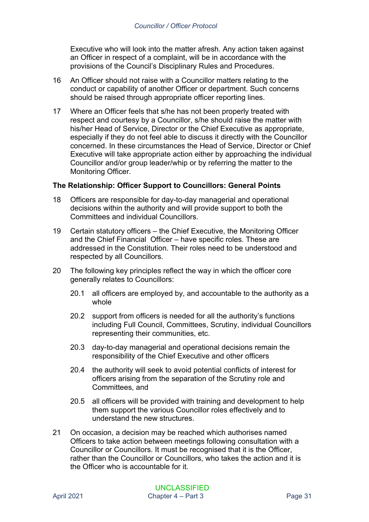Executive who will look into the matter afresh. Any action taken against an Officer in respect of a complaint, will be in accordance with the provisions of the Council's Disciplinary Rules and Procedures.

- 16 An Officer should not raise with a Councillor matters relating to the conduct or capability of another Officer or department. Such concerns should be raised through appropriate officer reporting lines.
- 17 Where an Officer feels that s/he has not been properly treated with respect and courtesy by a Councillor, s/he should raise the matter with his/her Head of Service, Director or the Chief Executive as appropriate, especially if they do not feel able to discuss it directly with the Councillor concerned. In these circumstances the Head of Service, Director or Chief Executive will take appropriate action either by approaching the individual Councillor and/or group leader/whip or by referring the matter to the Monitoring Officer.

#### **The Relationship: Officer Support to Councillors: General Points**

- 18 Officers are responsible for day-to-day managerial and operational decisions within the authority and will provide support to both the Committees and individual Councillors.
- 19 Certain statutory officers the Chief Executive, the Monitoring Officer and the Chief Financial Officer – have specific roles. These are addressed in the Constitution. Their roles need to be understood and respected by all Councillors.
- 20 The following key principles reflect the way in which the officer core generally relates to Councillors:
	- 20.1 all officers are employed by, and accountable to the authority as a whole
	- 20.2 support from officers is needed for all the authority's functions including Full Council, Committees, Scrutiny, individual Councillors representing their communities, etc.
	- 20.3 day-to-day managerial and operational decisions remain the responsibility of the Chief Executive and other officers
	- 20.4 the authority will seek to avoid potential conflicts of interest for officers arising from the separation of the Scrutiny role and Committees, and
	- 20.5 all officers will be provided with training and development to help them support the various Councillor roles effectively and to understand the new structures.
- 21 On occasion, a decision may be reached which authorises named Officers to take action between meetings following consultation with a Councillor or Councillors. It must be recognised that it is the Officer, rather than the Councillor or Councillors, who takes the action and it is the Officer who is accountable for it.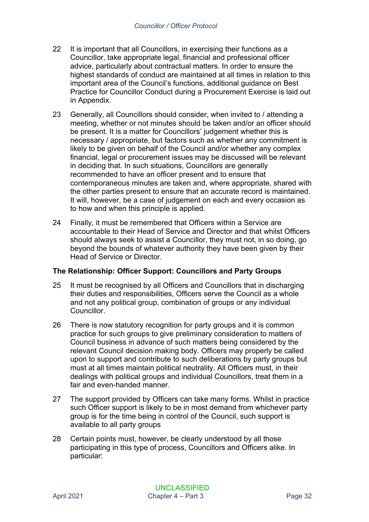- 22 It is important that all Councillors, in exercising their functions as a Councillor, take appropriate legal, financial and professional officer advice, particularly about contractual matters. In order to ensure the highest standards of conduct are maintained at all times in relation to this important area of the Council's functions, additional guidance on Best Practice for Councillor Conduct during a Procurement Exercise is laid out in Appendix.
- 23 Generally, all Councillors should consider, when invited to / attending a meeting, whether or not minutes should be taken and/or an officer should be present. It is a matter for Councillors' judgement whether this is necessary / appropriate, but factors such as whether any commitment is likely to be given on behalf of the Council and/or whether any complex financial, legal or procurement issues may be discussed will be relevant in deciding that. In such situations, Councillors are generally recommended to have an officer present and to ensure that contemporaneous minutes are taken and, where appropriate, shared with the other parties present to ensure that an accurate record is maintained. It will, however, be a case of judgement on each and every occasion as to how and when this principle is applied.
- 24 Finally, it must be remembered that Officers within a Service are accountable to their Head of Service and Director and that whilst Officers should always seek to assist a Councillor, they must not, in so doing, go beyond the bounds of whatever authority they have been given by their Head of Service or Director.

#### **The Relationship: Officer Support: Councillors and Party Groups**

- 25 It must be recognised by all Officers and Councillors that in discharging their duties and responsibilities, Officers serve the Council as a whole and not any political group, combination of groups or any individual Councillor.
- 26 There is now statutory recognition for party groups and it is common practice for such groups to give preliminary consideration to matters of Council business in advance of such matters being considered by the relevant Council decision making body. Officers may properly be called upon to support and contribute to such deliberations by party groups but must at all times maintain political neutrality. All Officers must, in their dealings with political groups and individual Councillors, treat them in a fair and even-handed manner.
- 27 The support provided by Officers can take many forms. Whilst in practice such Officer support is likely to be in most demand from whichever party group is for the time being in control of the Council, such support is available to all party groups
- 28 Certain points must, however, be clearly understood by all those participating in this type of process, Councillors and Officers alike. In particular: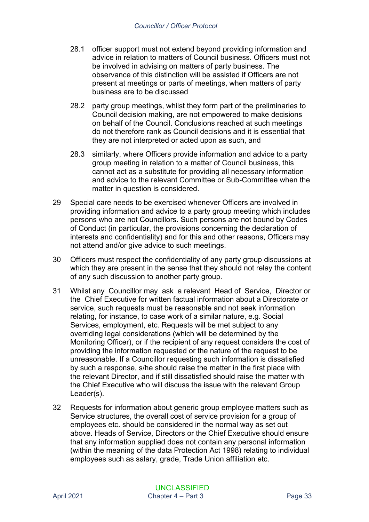- 28.1 officer support must not extend beyond providing information and advice in relation to matters of Council business. Officers must not be involved in advising on matters of party business. The observance of this distinction will be assisted if Officers are not present at meetings or parts of meetings, when matters of party business are to be discussed
- 28.2 party group meetings, whilst they form part of the preliminaries to Council decision making, are not empowered to make decisions on behalf of the Council. Conclusions reached at such meetings do not therefore rank as Council decisions and it is essential that they are not interpreted or acted upon as such, and
- 28.3 similarly, where Officers provide information and advice to a party group meeting in relation to a matter of Council business, this cannot act as a substitute for providing all necessary information and advice to the relevant Committee or Sub-Committee when the matter in question is considered.
- 29 Special care needs to be exercised whenever Officers are involved in providing information and advice to a party group meeting which includes persons who are not Councillors. Such persons are not bound by Codes of Conduct (in particular, the provisions concerning the declaration of interests and confidentiality) and for this and other reasons, Officers may not attend and/or give advice to such meetings.
- 30 Officers must respect the confidentiality of any party group discussions at which they are present in the sense that they should not relay the content of any such discussion to another party group.
- 31 Whilst any Councillor may ask a relevant Head of Service, Director or the Chief Executive for written factual information about a Directorate or service, such requests must be reasonable and not seek information relating, for instance, to case work of a similar nature, e.g. Social Services, employment, etc. Requests will be met subject to any overriding legal considerations (which will be determined by the Monitoring Officer), or if the recipient of any request considers the cost of providing the information requested or the nature of the request to be unreasonable. If a Councillor requesting such information is dissatisfied by such a response, s/he should raise the matter in the first place with the relevant Director, and if still dissatisfied should raise the matter with the Chief Executive who will discuss the issue with the relevant Group Leader(s).
- 32 Requests for information about generic group employee matters such as Service structures, the overall cost of service provision for a group of employees etc. should be considered in the normal way as set out above. Heads of Service, Directors or the Chief Executive should ensure that any information supplied does not contain any personal information (within the meaning of the data Protection Act 1998) relating to individual employees such as salary, grade, Trade Union affiliation etc.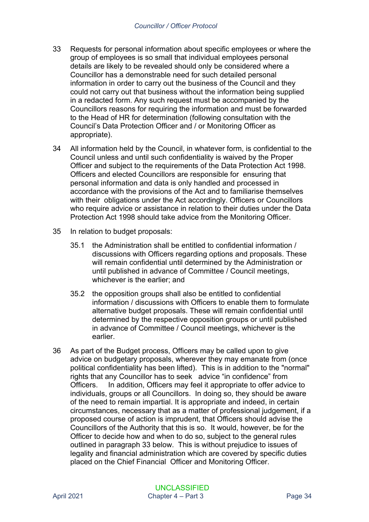- 33 Requests for personal information about specific employees or where the group of employees is so small that individual employees personal details are likely to be revealed should only be considered where a Councillor has a demonstrable need for such detailed personal information in order to carry out the business of the Council and they could not carry out that business without the information being supplied in a redacted form. Any such request must be accompanied by the Councillors reasons for requiring the information and must be forwarded to the Head of HR for determination (following consultation with the Council's Data Protection Officer and / or Monitoring Officer as appropriate).
- 34 All information held by the Council, in whatever form, is confidential to the Council unless and until such confidentiality is waived by the Proper Officer and subject to the requirements of the Data Protection Act 1998. Officers and elected Councillors are responsible for ensuring that personal information and data is only handled and processed in accordance with the provisions of the Act and to familiarise themselves with their obligations under the Act accordingly. Officers or Councillors who require advice or assistance in relation to their duties under the Data Protection Act 1998 should take advice from the Monitoring Officer.
- 35 In relation to budget proposals:
	- 35.1 the Administration shall be entitled to confidential information / discussions with Officers regarding options and proposals. These will remain confidential until determined by the Administration or until published in advance of Committee / Council meetings, whichever is the earlier; and
	- 35.2 the opposition groups shall also be entitled to confidential information / discussions with Officers to enable them to formulate alternative budget proposals. These will remain confidential until determined by the respective opposition groups or until published in advance of Committee / Council meetings, whichever is the earlier.
- 36 As part of the Budget process, Officers may be called upon to give advice on budgetary proposals, wherever they may emanate from (once political confidentiality has been lifted). This is in addition to the "normal" rights that any Councillor has to seek advice "in confidence" from Officers. In addition, Officers may feel it appropriate to offer advice to individuals, groups or all Councillors. In doing so, they should be aware of the need to remain impartial. It is appropriate and indeed, in certain circumstances, necessary that as a matter of professional judgement, if a proposed course of action is imprudent, that Officers should advise the Councillors of the Authority that this is so. It would, however, be for the Officer to decide how and when to do so, subject to the general rules outlined in paragraph 33 below. This is without prejudice to issues of legality and financial administration which are covered by specific duties placed on the Chief Financial Officer and Monitoring Officer.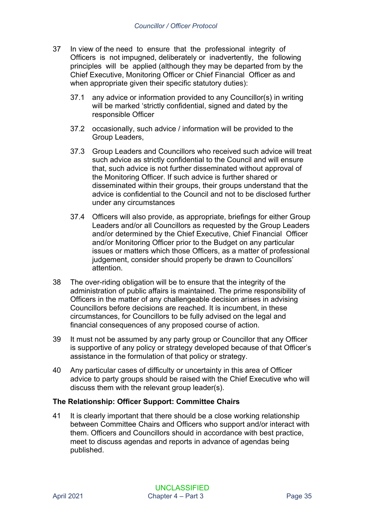- 37 In view of the need to ensure that the professional integrity of Officers is not impugned, deliberately or inadvertently, the following principles will be applied (although they may be departed from by the Chief Executive, Monitoring Officer or Chief Financial Officer as and when appropriate given their specific statutory duties):
	- 37.1 any advice or information provided to any Councillor(s) in writing will be marked 'strictly confidential, signed and dated by the responsible Officer
	- 37.2 occasionally, such advice / information will be provided to the Group Leaders,
	- 37.3 Group Leaders and Councillors who received such advice will treat such advice as strictly confidential to the Council and will ensure that, such advice is not further disseminated without approval of the Monitoring Officer. If such advice is further shared or disseminated within their groups, their groups understand that the advice is confidential to the Council and not to be disclosed further under any circumstances
	- 37.4 Officers will also provide, as appropriate, briefings for either Group Leaders and/or all Councillors as requested by the Group Leaders and/or determined by the Chief Executive, Chief Financial Officer and/or Monitoring Officer prior to the Budget on any particular issues or matters which those Officers, as a matter of professional judgement, consider should properly be drawn to Councillors' attention.
- 38 The over-riding obligation will be to ensure that the integrity of the administration of public affairs is maintained. The prime responsibility of Officers in the matter of any challengeable decision arises in advising Councillors before decisions are reached. It is incumbent, in these circumstances, for Councillors to be fully advised on the legal and financial consequences of any proposed course of action.
- 39 It must not be assumed by any party group or Councillor that any Officer is supportive of any policy or strategy developed because of that Officer's assistance in the formulation of that policy or strategy.
- 40 Any particular cases of difficulty or uncertainty in this area of Officer advice to party groups should be raised with the Chief Executive who will discuss them with the relevant group leader(s).

#### **The Relationship: Officer Support: Committee Chairs**

41 It is clearly important that there should be a close working relationship between Committee Chairs and Officers who support and/or interact with them. Officers and Councillors should in accordance with best practice, meet to discuss agendas and reports in advance of agendas being published.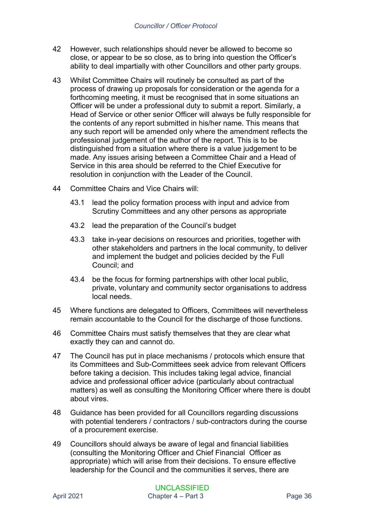- 42 However, such relationships should never be allowed to become so close, or appear to be so close, as to bring into question the Officer's ability to deal impartially with other Councillors and other party groups.
- 43 Whilst Committee Chairs will routinely be consulted as part of the process of drawing up proposals for consideration or the agenda for a forthcoming meeting, it must be recognised that in some situations an Officer will be under a professional duty to submit a report. Similarly, a Head of Service or other senior Officer will always be fully responsible for the contents of any report submitted in his/her name. This means that any such report will be amended only where the amendment reflects the professional judgement of the author of the report. This is to be distinguished from a situation where there is a value judgement to be made. Any issues arising between a Committee Chair and a Head of Service in this area should be referred to the Chief Executive for resolution in conjunction with the Leader of the Council.
- 44 Committee Chairs and Vice Chairs will:
	- 43.1 lead the policy formation process with input and advice from Scrutiny Committees and any other persons as appropriate
	- 43.2 lead the preparation of the Council's budget
	- 43.3 take in-year decisions on resources and priorities, together with other stakeholders and partners in the local community, to deliver and implement the budget and policies decided by the Full Council; and
	- 43.4 be the focus for forming partnerships with other local public, private, voluntary and community sector organisations to address local needs.
- 45 Where functions are delegated to Officers, Committees will nevertheless remain accountable to the Council for the discharge of those functions.
- 46 Committee Chairs must satisfy themselves that they are clear what exactly they can and cannot do.
- 47 The Council has put in place mechanisms / protocols which ensure that its Committees and Sub-Committees seek advice from relevant Officers before taking a decision. This includes taking legal advice, financial advice and professional officer advice (particularly about contractual matters) as well as consulting the Monitoring Officer where there is doubt about vires.
- 48 Guidance has been provided for all Councillors regarding discussions with potential tenderers / contractors / sub-contractors during the course of a procurement exercise.
- 49 Councillors should always be aware of legal and financial liabilities (consulting the Monitoring Officer and Chief Financial Officer as appropriate) which will arise from their decisions. To ensure effective leadership for the Council and the communities it serves, there are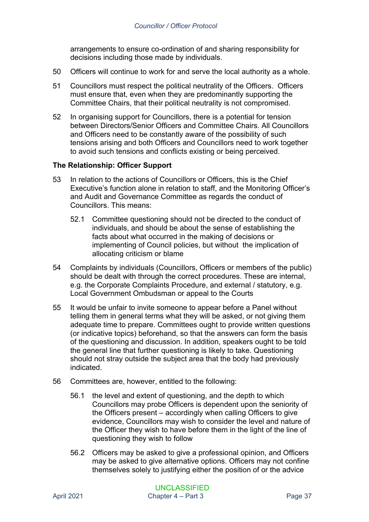arrangements to ensure co-ordination of and sharing responsibility for decisions including those made by individuals.

- 50 Officers will continue to work for and serve the local authority as a whole.
- 51 Councillors must respect the political neutrality of the Officers. Officers must ensure that, even when they are predominantly supporting the Committee Chairs, that their political neutrality is not compromised.
- 52 In organising support for Councillors, there is a potential for tension between Directors/Senior Officers and Committee Chairs. All Councillors and Officers need to be constantly aware of the possibility of such tensions arising and both Officers and Councillors need to work together to avoid such tensions and conflicts existing or being perceived.

#### **The Relationship: Officer Support**

- 53 In relation to the actions of Councillors or Officers, this is the Chief Executive's function alone in relation to staff, and the Monitoring Officer's and Audit and Governance Committee as regards the conduct of Councillors. This means:
	- 52.1 Committee questioning should not be directed to the conduct of individuals, and should be about the sense of establishing the facts about what occurred in the making of decisions or implementing of Council policies, but without the implication of allocating criticism or blame
- 54 Complaints by individuals (Councillors, Officers or members of the public) should be dealt with through the correct procedures. These are internal, e.g. the Corporate Complaints Procedure, and external / statutory, e.g. Local Government Ombudsman or appeal to the Courts
- 55 It would be unfair to invite someone to appear before a Panel without telling them in general terms what they will be asked, or not giving them adequate time to prepare. Committees ought to provide written questions (or indicative topics) beforehand, so that the answers can form the basis of the questioning and discussion. In addition, speakers ought to be told the general line that further questioning is likely to take. Questioning should not stray outside the subject area that the body had previously indicated.
- 56 Committees are, however, entitled to the following:
	- 56.1 the level and extent of questioning, and the depth to which Councillors may probe Officers is dependent upon the seniority of the Officers present – accordingly when calling Officers to give evidence, Councillors may wish to consider the level and nature of the Officer they wish to have before them in the light of the line of questioning they wish to follow
	- 56.2 Officers may be asked to give a professional opinion, and Officers may be asked to give alternative options. Officers may not confine themselves solely to justifying either the position of or the advice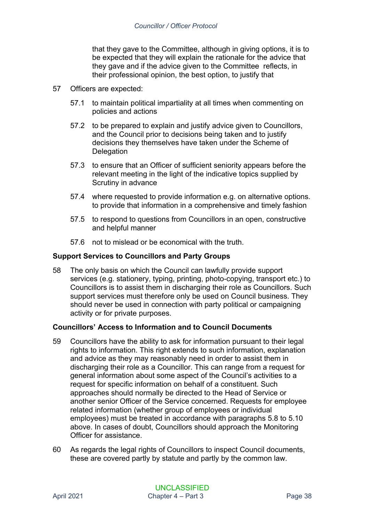that they gave to the Committee, although in giving options, it is to be expected that they will explain the rationale for the advice that they gave and if the advice given to the Committee reflects, in their professional opinion, the best option, to justify that

- 57 Officers are expected:
	- 57.1 to maintain political impartiality at all times when commenting on policies and actions
	- 57.2 to be prepared to explain and justify advice given to Councillors, and the Council prior to decisions being taken and to justify decisions they themselves have taken under the Scheme of **Delegation**
	- 57.3 to ensure that an Officer of sufficient seniority appears before the relevant meeting in the light of the indicative topics supplied by Scrutiny in advance
	- 57.4 where requested to provide information e.g. on alternative options. to provide that information in a comprehensive and timely fashion
	- 57.5 to respond to questions from Councillors in an open, constructive and helpful manner
	- 57.6 not to mislead or be economical with the truth

#### **Support Services to Councillors and Party Groups**

58 The only basis on which the Council can lawfully provide support services (e.g. stationery, typing, printing, photo-copying, transport etc.) to Councillors is to assist them in discharging their role as Councillors. Such support services must therefore only be used on Council business. They should never be used in connection with party political or campaigning activity or for private purposes.

#### **Councillors' Access to Information and to Council Documents**

- 59 Councillors have the ability to ask for information pursuant to their legal rights to information. This right extends to such information, explanation and advice as they may reasonably need in order to assist them in discharging their role as a Councillor. This can range from a request for general information about some aspect of the Council's activities to a request for specific information on behalf of a constituent. Such approaches should normally be directed to the Head of Service or another senior Officer of the Service concerned. Requests for employee related information (whether group of employees or individual employees) must be treated in accordance with paragraphs 5.8 to 5.10 above. In cases of doubt, Councillors should approach the Monitoring Officer for assistance.
- 60 As regards the legal rights of Councillors to inspect Council documents, these are covered partly by statute and partly by the common law.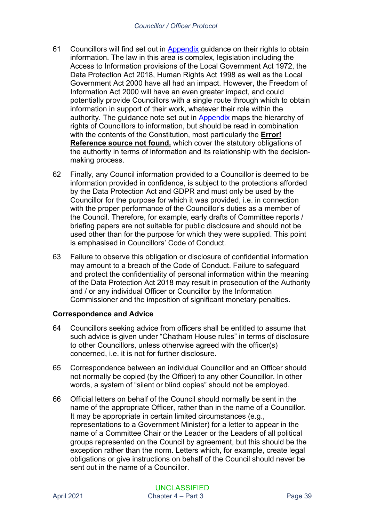- 61 Councillors will find set out in Appendix guidance on their rights to obtain information. The law in this area is complex, legislation including the Access to Information provisions of the Local Government Act 1972, the Data Protection Act 2018, Human Rights Act 1998 as well as the Local Government Act 2000 have all had an impact. However, the Freedom of Information Act 2000 will have an even greater impact, and could potentially provide Councillors with a single route through which to obtain information in support of their work, whatever their role within the authority. The guidance note set out in Appendix maps the hierarchy of rights of Councillors to information, but should be read in combination with the contents of the Constitution, most particularly the **Error! Reference source not found.** which cover the statutory obligations of the authority in terms of information and its relationship with the decisionmaking process.
- 62 Finally, any Council information provided to a Councillor is deemed to be information provided in confidence, is subject to the protections afforded by the Data Protection Act and GDPR and must only be used by the Councillor for the purpose for which it was provided, i.e. in connection with the proper performance of the Councillor's duties as a member of the Council. Therefore, for example, early drafts of Committee reports / briefing papers are not suitable for public disclosure and should not be used other than for the purpose for which they were supplied. This point is emphasised in Councillors' Code of Conduct.
- 63 Failure to observe this obligation or disclosure of confidential information may amount to a breach of the Code of Conduct. Failure to safeguard and protect the confidentiality of personal information within the meaning of the Data Protection Act 2018 may result in prosecution of the Authority and / or any individual Officer or Councillor by the Information Commissioner and the imposition of significant monetary penalties.

#### **Correspondence and Advice**

- 64 Councillors seeking advice from officers shall be entitled to assume that such advice is given under "Chatham House rules" in terms of disclosure to other Councillors, unless otherwise agreed with the officer(s) concerned, i.e. it is not for further disclosure.
- 65 Correspondence between an individual Councillor and an Officer should not normally be copied (by the Officer) to any other Councillor. In other words, a system of "silent or blind copies" should not be employed.
- 66 Official letters on behalf of the Council should normally be sent in the name of the appropriate Officer, rather than in the name of a Councillor. It may be appropriate in certain limited circumstances (e.g., representations to a Government Minister) for a letter to appear in the name of a Committee Chair or the Leader or the Leaders of all political groups represented on the Council by agreement, but this should be the exception rather than the norm. Letters which, for example, create legal obligations or give instructions on behalf of the Council should never be sent out in the name of a Councillor.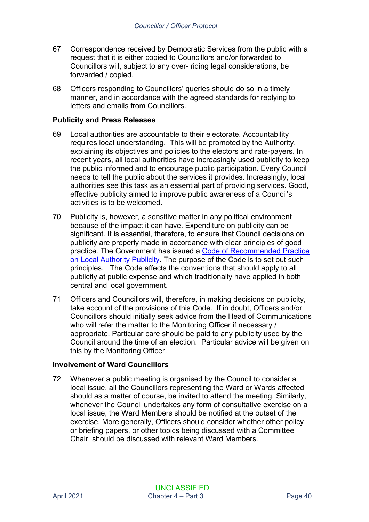- 67 Correspondence received by Democratic Services from the public with a request that it is either copied to Councillors and/or forwarded to Councillors will, subject to any over- riding legal considerations, be forwarded / copied.
- 68 Officers responding to Councillors' queries should do so in a timely manner, and in accordance with the agreed standards for replying to letters and emails from Councillors.

#### **Publicity and Press Releases**

- 69 Local authorities are accountable to their electorate. Accountability requires local understanding. This will be promoted by the Authority, explaining its objectives and policies to the electors and rate-payers. In recent years, all local authorities have increasingly used publicity to keep the public informed and to encourage public participation. Every Council needs to tell the public about the services it provides. Increasingly, local authorities see this task as an essential part of providing services. Good, effective publicity aimed to improve public awareness of a Council's activities is to be welcomed.
- 70 Publicity is, however, a sensitive matter in any political environment because of the impact it can have. Expenditure on publicity can be significant. It is essential, therefore, to ensure that Council decisions on publicity are properly made in accordance with clear principles of good practice. The Government has issued a Code of [Recommended](https://www.gov.uk/government/publications/recommended-code-of-practice-for-local-authority-publicity) Practice on Local [Authority](https://www.gov.uk/government/publications/recommended-code-of-practice-for-local-authority-publicity) Publicity. The purpose of the Code is to set out such principles. The Code affects the conventions that should apply to all publicity at public expense and which traditionally have applied in both central and local government.
- 71 Officers and Councillors will, therefore, in making decisions on publicity, take account of the provisions of this Code. If in doubt, Officers and/or Councillors should initially seek advice from the Head of Communications who will refer the matter to the Monitoring Officer if necessary / appropriate. Particular care should be paid to any publicity used by the Council around the time of an election. Particular advice will be given on this by the Monitoring Officer.

#### **Involvement of Ward Councillors**

72 Whenever a public meeting is organised by the Council to consider a local issue, all the Councillors representing the Ward or Wards affected should as a matter of course, be invited to attend the meeting. Similarly, whenever the Council undertakes any form of consultative exercise on a local issue, the Ward Members should be notified at the outset of the exercise. More generally, Officers should consider whether other policy or briefing papers, or other topics being discussed with a Committee Chair, should be discussed with relevant Ward Members.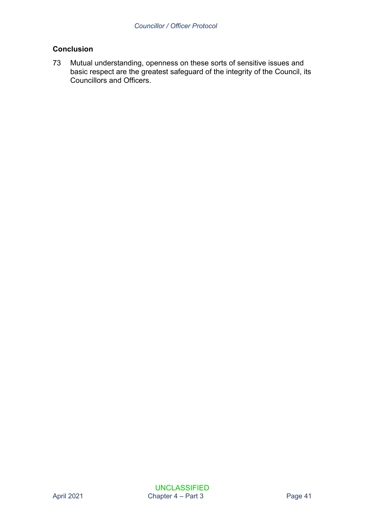### **Conclusion**

73 Mutual understanding, openness on these sorts of sensitive issues and basic respect are the greatest safeguard of the integrity of the Council, its Councillors and Officers.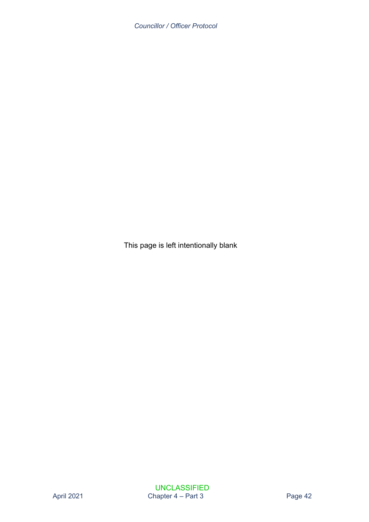This page is left intentionally blank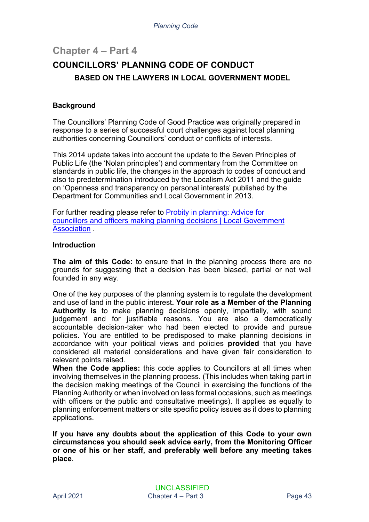## **Chapter 4 – Part 4 COUNCILLORS' PLANNING CODE OF CONDUCT BASED ON THE LAWYERS IN LOCAL GOVERNMENT MODEL**

#### **Background**

The Councillors' Planning Code of Good Practice was originally prepared in response to a series of successful court challenges against local planning authorities concerning Councillors' conduct or conflicts of interests.

This 2014 update takes into account the update to the Seven Principles of Public Life (the 'Nolan principles') and commentary from the Committee on standards in public life, the changes in the approach to codes of conduct and also to predetermination introduced by the Localism Act 2011 and the guide on 'Openness and transparency on personal interests' published by the Department for Communities and Local Government in 2013.

For further reading please refer to Probity in [planning:](https://www.local.gov.uk/probity-planning-advice-councillors-and-officers-making-planning-decisions) Advice for councillors and officers making planning decisions | Local [Government](https://www.local.gov.uk/probity-planning-advice-councillors-and-officers-making-planning-decisions) **[Association](https://www.local.gov.uk/probity-planning-advice-councillors-and-officers-making-planning-decisions)** 

#### **Introduction**

**The aim of this Code:** to ensure that in the planning process there are no grounds for suggesting that a decision has been biased, partial or not well founded in any way.

One of the key purposes of the planning system is to regulate the development and use of land in the public interest**. Your role as a Member of the Planning Authority is** to make planning decisions openly, impartially, with sound judgement and for justifiable reasons. You are also a democratically accountable decision-taker who had been elected to provide and pursue policies. You are entitled to be predisposed to make planning decisions in accordance with your political views and policies **provided** that you have considered all material considerations and have given fair consideration to relevant points raised.

**When the Code applies:** this code applies to Councillors at all times when involving themselves in the planning process. (This includes when taking part in the decision making meetings of the Council in exercising the functions of the Planning Authority or when involved on less formal occasions, such as meetings with officers or the public and consultative meetings). It applies as equally to planning enforcement matters or site specific policy issues as it does to planning applications.

**If you have any doubts about the application of this Code to your own circumstances you should seek advice early, from the Monitoring Officer or one of his or her staff, and preferably well before any meeting takes place**.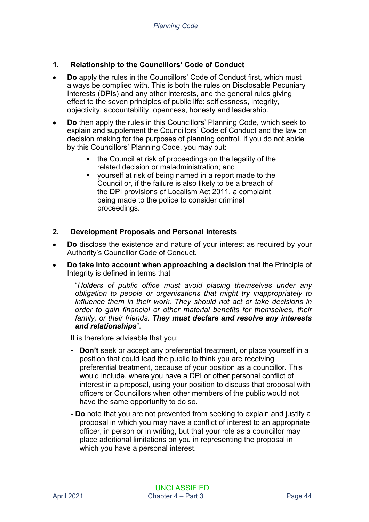#### **1. Relationship to the Councillors' Code of Conduct**

- **Do** apply the rules in the Councillors' Code of Conduct first, which must always be complied with. This is both the rules on Disclosable Pecuniary Interests (DPIs) and any other interests, and the general rules giving effect to the seven principles of public life: selflessness, integrity, objectivity, accountability, openness, honesty and leadership.
- **Do** then apply the rules in this Councillors' Planning Code, which seek to explain and supplement the Councillors' Code of Conduct and the law on decision making for the purposes of planning control. If you do not abide by this Councillors' Planning Code, you may put:
	- the Council at risk of proceedings on the legality of the related decision or maladministration; and
	- yourself at risk of being named in a report made to the Council or, if the failure is also likely to be a breach of the DPI provisions of Localism Act 2011, a complaint being made to the police to consider criminal proceedings.

#### **2. Development Proposals and Personal Interests**

- **Do** disclose the existence and nature of your interest as required by your Authority's Councillor Code of Conduct.
- **Do take into account when approaching a decision** that the Principle of Integrity is defined in terms that

"*Holders of public office must avoid placing themselves under any obligation to people or organisations that might try inappropriately to influence them in their work. They should not act or take decisions in order to gain financial or other material benefits for themselves, their family, or their friends. They must declare and resolve any interests and relationships*".

It is therefore advisable that you:

- **- Don't** seek or accept any preferential treatment, or place yourself in a position that could lead the public to think you are receiving preferential treatment, because of your position as a councillor. This would include, where you have a DPI or other personal conflict of interest in a proposal, using your position to discuss that proposal with officers or Councillors when other members of the public would not have the same opportunity to do so.
- **- Do** note that you are not prevented from seeking to explain and justify a proposal in which you may have a conflict of interest to an appropriate officer, in person or in writing, but that your role as a councillor may place additional limitations on you in representing the proposal in which you have a personal interest.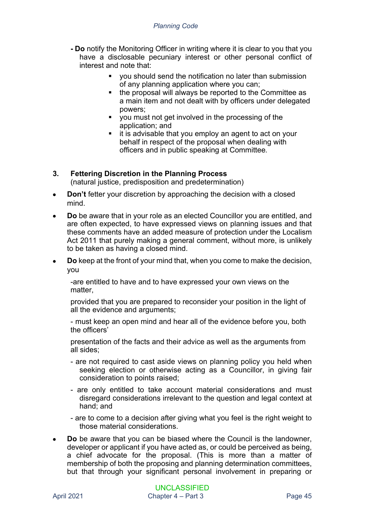#### *Planning Code*

- **- Do** notify the Monitoring Officer in writing where it is clear to you that you have a disclosable pecuniary interest or other personal conflict of interest and note that:
	- you should send the notification no later than submission of any planning application where you can;
	- the proposal will always be reported to the Committee as a main item and not dealt with by officers under delegated powers;
	- you must not get involved in the processing of the application; and
	- $\blacksquare$  it is advisable that you employ an agent to act on your behalf in respect of the proposal when dealing with officers and in public speaking at Committee*.*

#### **3. Fettering Discretion in the Planning Process** (natural justice, predisposition and predetermination)

- **Don't** fetter your discretion by approaching the decision with a closed mind.
- **Do** be aware that in your role as an elected Councillor you are entitled, and are often expected, to have expressed views on planning issues and that these comments have an added measure of protection under the Localism Act 2011 that purely making a general comment, without more, is unlikely to be taken as having a closed mind.
- **Do** keep at the front of your mind that, when you come to make the decision, you

-are entitled to have and to have expressed your own views on the matter,

provided that you are prepared to reconsider your position in the light of all the evidence and arguments;

- must keep an open mind and hear all of the evidence before you, both the officers'

presentation of the facts and their advice as well as the arguments from all sides;

- are not required to cast aside views on planning policy you held when seeking election or otherwise acting as a Councillor, in giving fair consideration to points raised;
- are only entitled to take account material considerations and must disregard considerations irrelevant to the question and legal context at hand; and
- are to come to a decision after giving what you feel is the right weight to those material considerations.
- **Do** be aware that you can be biased where the Council is the landowner, developer or applicant if you have acted as, or could be perceived as being, a chief advocate for the proposal. (This is more than a matter of membership of both the proposing and planning determination committees, but that through your significant personal involvement in preparing or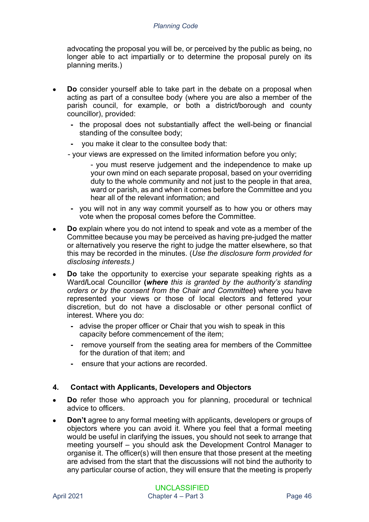advocating the proposal you will be, or perceived by the public as being, no longer able to act impartially or to determine the proposal purely on its planning merits.)

- **Do** consider yourself able to take part in the debate on a proposal when acting as part of a consultee body (where you are also a member of the parish council, for example, or both a district**/**borough and county councillor), provided:
	- **-** the proposal does not substantially affect the well-being or financial standing of the consultee body;
	- **-** you make it clear to the consultee body that:
	- your views are expressed on the limited information before you only;
		- you must reserve judgement and the independence to make up your own mind on each separate proposal, based on your overriding duty to the whole community and not just to the people in that area, ward or parish, as and when it comes before the Committee and you hear all of the relevant information; and
	- **-** you will not in any way commit yourself as to how you or others may vote when the proposal comes before the Committee.
- **Do** explain where you do not intend to speak and vote as a member of the Committee because you may be perceived as having pre-judged the matter or alternatively you reserve the right to judge the matter elsewhere, so that this may be recorded in the minutes. (*Use the disclosure form provided for disclosing interests.)*
- **Do** take the opportunity to exercise your separate speaking rights as a Ward**/**Local Councillor **(***where this is granted by the authority's standing orders or by the consent from the Chair and Committee***)** where you have represented your views or those of local electors and fettered your discretion, but do not have a disclosable or other personal conflict of interest. Where you do:
	- **-** advise the proper officer or Chair that you wish to speak in this capacity before commencement of the item;
	- **-** remove yourself from the seating area for members of the Committee for the duration of that item; and
	- **-** ensure that your actions are recorded.

#### **4. Contact with Applicants, Developers and Objectors**

- **Do** refer those who approach you for planning, procedural or technical advice to officers.
- **Don't** agree to any formal meeting with applicants, developers or groups of objectors where you can avoid it. Where you feel that a formal meeting would be useful in clarifying the issues, you should not seek to arrange that meeting yourself – you should ask the Development Control Manager to organise it. The officer(s) will then ensure that those present at the meeting are advised from the start that the discussions will not bind the authority to any particular course of action, they will ensure that the meeting is properly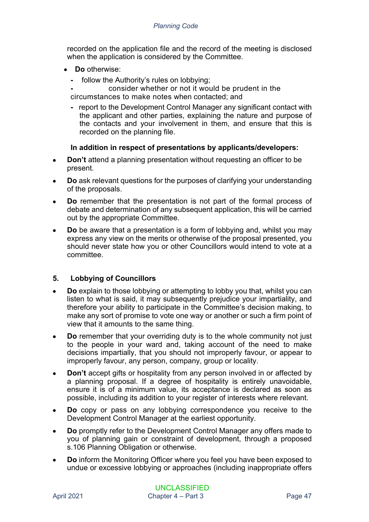#### *Planning Code*

recorded on the application file and the record of the meeting is disclosed when the application is considered by the Committee.

- **Do** otherwise:
	- **-** follow the Authority's rules on lobbying;

**-** consider whether or not it would be prudent in the circumstances to make notes when contacted; and

**-** report to the Development Control Manager any significant contact with the applicant and other parties, explaining the nature and purpose of the contacts and your involvement in them, and ensure that this is recorded on the planning file.

#### **In addition in respect of presentations by applicants/developers:**

- **Don't** attend a planning presentation without requesting an officer to be present.
- **Do** ask relevant questions for the purposes of clarifying your understanding of the proposals.
- **Do** remember that the presentation is not part of the formal process of debate and determination of any subsequent application, this will be carried out by the appropriate Committee.
- **Do** be aware that a presentation is a form of lobbying and, whilst you may express any view on the merits or otherwise of the proposal presented, you should never state how you or other Councillors would intend to vote at a committee.

#### **5. Lobbying of Councillors**

- **Do** explain to those lobbying or attempting to lobby you that, whilst you can listen to what is said, it may subsequently prejudice your impartiality, and therefore your ability to participate in the Committee's decision making, to make any sort of promise to vote one way or another or such a firm point of view that it amounts to the same thing.
- **Do** remember that your overriding duty is to the whole community not just to the people in your ward and, taking account of the need to make decisions impartially, that you should not improperly favour, or appear to improperly favour, any person, company, group or locality.
- **Don't** accept gifts or hospitality from any person involved in or affected by a planning proposal. If a degree of hospitality is entirely unavoidable, ensure it is of a minimum value, its acceptance is declared as soon as possible, including its addition to your register of interests where relevant.
- **Do** copy or pass on any lobbying correspondence you receive to the Development Control Manager at the earliest opportunity.
- **Do** promptly refer to the Development Control Manager any offers made to you of planning gain or constraint of development, through a proposed s.106 Planning Obligation or otherwise.
- **Do** inform the Monitoring Officer where you feel you have been exposed to undue or excessive lobbying or approaches (including inappropriate offers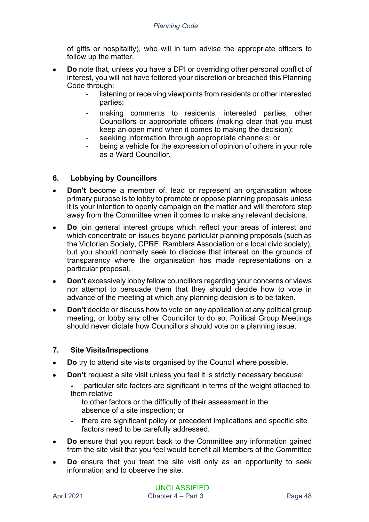of gifts or hospitality), who will in turn advise the appropriate officers to follow up the matter.

- **Do** note that, unless you have a DPI or overriding other personal conflict of interest, you will not have fettered your discretion or breached this Planning Code through:
	- listening or receiving viewpoints from residents or other interested parties;
	- making comments to residents, interested parties, other Councillors or appropriate officers (making clear that you must keep an open mind when it comes to making the decision);
	- seeking information through appropriate channels; or
	- being a vehicle for the expression of opinion of others in your role as a Ward Councillor.

#### **6. Lobbying by Councillors**

- **Don't** become a member of, lead or represent an organisation whose primary purpose is to lobby to promote or oppose planning proposals unless it is your intention to openly campaign on the matter and will therefore step away from the Committee when it comes to make any relevant decisions.
- **Do** join general interest groups which reflect your areas of interest and which concentrate on issues beyond particular planning proposals (such as the Victorian Society, CPRE, Ramblers Association or a local civic society), but you should normally seek to disclose that interest on the grounds of transparency where the organisation has made representations on a particular proposal.
- **Don't** excessively lobby fellow councillors regarding your concerns or views nor attempt to persuade them that they should decide how to vote in advance of the meeting at which any planning decision is to be taken.
- **Don't** decide or discuss how to vote on any application at any political group meeting, or lobby any other Councillor to do so. Political Group Meetings should never dictate how Councillors should vote on a planning issue.

#### **7. Site Visits/Inspections**

- **Do** try to attend site visits organised by the Council where possible.
- **Don't** request a site visit unless you feel it is strictly necessary because:
	- **-** particular site factors are significant in terms of the weight attached to them relative

to other factors or the difficulty of their assessment in the absence of a site inspection; or

- **-** there are significant policy or precedent implications and specific site factors need to be carefully addressed.
- **Do** ensure that you report back to the Committee any information gained from the site visit that you feel would benefit all Members of the Committee
- **Do** ensure that you treat the site visit only as an opportunity to seek information and to observe the site.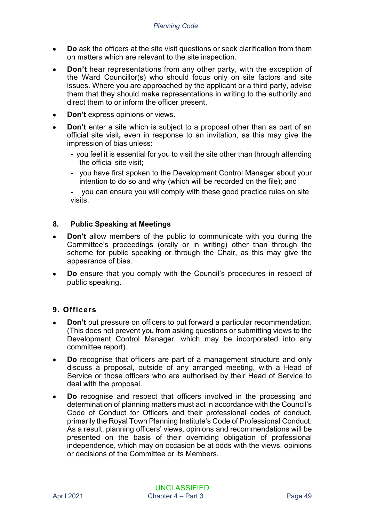#### *Planning Code*

- **Do** ask the officers at the site visit questions or seek clarification from them on matters which are relevant to the site inspection.
- **Don't** hear representations from any other party, with the exception of the Ward Councillor(s) who should focus only on site factors and site issues. Where you are approached by the applicant or a third party, advise them that they should make representations in writing to the authority and direct them to or inform the officer present.
- **Don't** express opinions or views.
- **Don't** enter a site which is subject to a proposal other than as part of an official site visit**,** even in response to an invitation, as this may give the impression of bias unless:
	- you feel it is essential for you to visit the site other than through attending the official site visit;
	- **-** you have first spoken to the Development Control Manager about your intention to do so and why (which will be recorded on the file); and

**-** you can ensure you will comply with these good practice rules on site visits.

#### **8. Public Speaking at Meetings**

- **Don't** allow members of the public to communicate with you during the Committee's proceedings (orally or in writing) other than through the scheme for public speaking or through the Chair, as this may give the appearance of bias.
- **Do** ensure that you comply with the Council's procedures in respect of public speaking.

#### **9. Officers**

- **Don't** put pressure on officers to put forward a particular recommendation. (This does not prevent you from asking questions or submitting views to the Development Control Manager, which may be incorporated into any committee report).
- **Do** recognise that officers are part of a management structure and only discuss a proposal, outside of any arranged meeting, with a Head of Service or those officers who are authorised by their Head of Service to deal with the proposal.
- **Do** recognise and respect that officers involved in the processing and determination of planning matters must act in accordance with the Council's Code of Conduct for Officers and their professional codes of conduct, primarily the Royal Town Planning Institute's Code of Professional Conduct. As a result, planning officers' views, opinions and recommendations will be presented on the basis of their overriding obligation of professional independence, which may on occasion be at odds with the views, opinions or decisions of the Committee or its Members.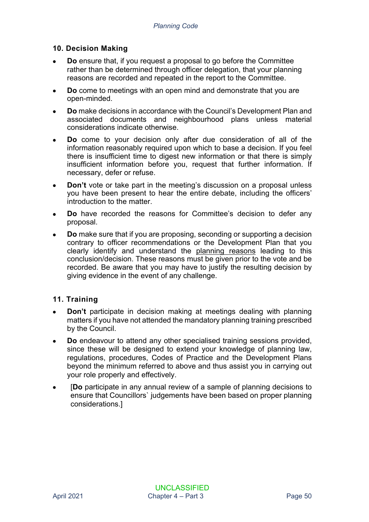#### **10. Decision Making**

- **Do** ensure that, if you request a proposal to go before the Committee rather than be determined through officer delegation, that your planning reasons are recorded and repeated in the report to the Committee.
- **Do** come to meetings with an open mind and demonstrate that you are open-minded.
- **Do** make decisions in accordance with the Council's Development Plan and associated documents and neighbourhood plans unless material considerations indicate otherwise.
- **Do** come to your decision only after due consideration of all of the information reasonably required upon which to base a decision. If you feel there is insufficient time to digest new information or that there is simply insufficient information before you, request that further information. If necessary, defer or refuse.
- **Don't** vote or take part in the meeting's discussion on a proposal unless you have been present to hear the entire debate, including the officers' introduction to the matter.
- **Do** have recorded the reasons for Committee's decision to defer any proposal.
- **Do** make sure that if you are proposing, seconding or supporting a decision contrary to officer recommendations or the Development Plan that you clearly identify and understand the planning reasons leading to this conclusion/decision. These reasons must be given prior to the vote and be recorded. Be aware that you may have to justify the resulting decision by giving evidence in the event of any challenge.

#### **11. Training**

- **Don't** participate in decision making at meetings dealing with planning matters if you have not attended the mandatory planning training prescribed by the Council.
- **Do** endeavour to attend any other specialised training sessions provided, since these will be designed to extend your knowledge of planning law, regulations, procedures, Codes of Practice and the Development Plans beyond the minimum referred to above and thus assist you in carrying out your role properly and effectively.
- [**Do** participate in any annual review of a sample of planning decisions to ensure that Councillors` judgements have been based on proper planning considerations.]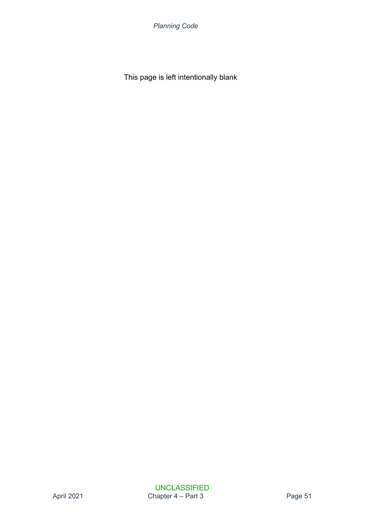*Planning Code*

This page is left intentionally blank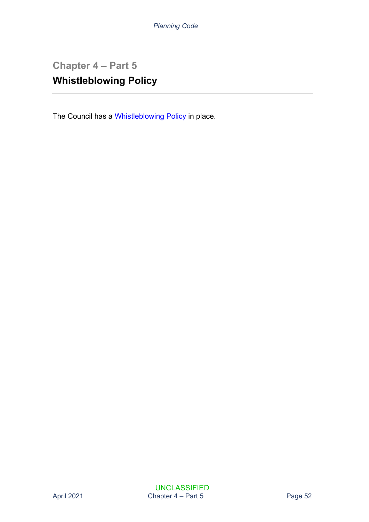## <span id="page-51-0"></span>**Chapter 4 – Part 5 Whistleblowing Policy**

The Council has a **[Whistleblowing](http://www.cheshireeast.gov.uk/system_pages/information-for-staff/whistleblowing/whistleblowing.aspx) Policy** in place.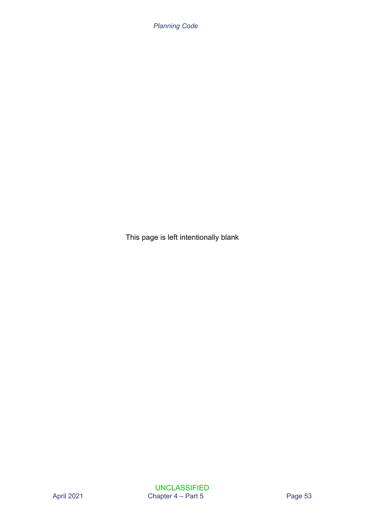*Planning Code*

This page is left intentionally blank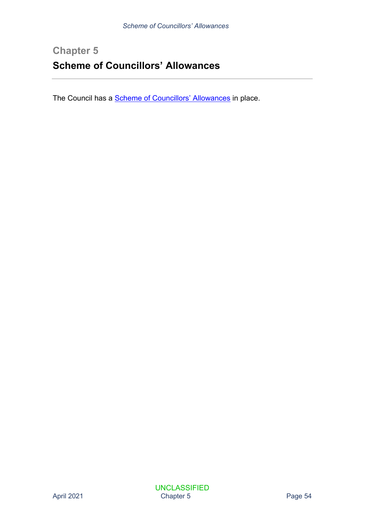## <span id="page-53-0"></span>**Chapter 5 Scheme of Councillors' Allowances**

The Council has a **Scheme of [Councillors'](http://www.cheshireeast.gov.uk/council_and_democracy/your_council/councillor_expenses.aspx) Allowances** in place.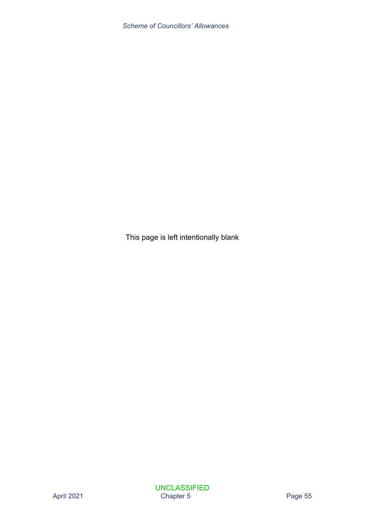This page is left intentionally blank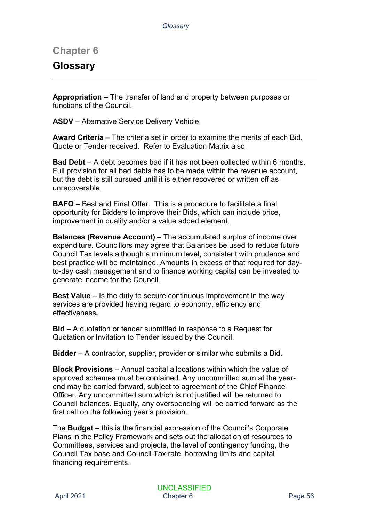**Chapter 6**

## **Glossary**

**Appropriation** – The transfer of land and property between purposes or functions of the Council.

**ASDV** – Alternative Service Delivery Vehicle.

**Award Criteria** – The criteria set in order to examine the merits of each Bid, Quote or Tender received. Refer to Evaluation Matrix also.

**Bad Debt** – A debt becomes bad if it has not been collected within 6 months. Full provision for all bad debts has to be made within the revenue account, but the debt is still pursued until it is either recovered or written off as unrecoverable.

**BAFO** – Best and Final Offer. This is a procedure to facilitate a final opportunity for Bidders to improve their Bids, which can include price, improvement in quality and/or a value added element.

**Balances (Revenue Account)** – The accumulated surplus of income over expenditure. Councillors may agree that Balances be used to reduce future Council Tax levels although a minimum level, consistent with prudence and best practice will be maintained. Amounts in excess of that required for dayto-day cash management and to finance working capital can be invested to generate income for the Council.

**Best Value** – Is the duty to secure continuous improvement in the way services are provided having regard to economy, efficiency and effectiveness**.**

**Bid** – A quotation or tender submitted in response to a Request for Quotation or Invitation to Tender issued by the Council.

**Bidder** – A contractor, supplier, provider or similar who submits a Bid.

**Block Provisions** – Annual capital allocations within which the value of approved schemes must be contained. Any uncommitted sum at the yearend may be carried forward, subject to agreement of the Chief Finance Officer. Any uncommitted sum which is not justified will be returned to Council balances. Equally, any overspending will be carried forward as the first call on the following year's provision.

The **Budget –** this is the financial expression of the Council's Corporate Plans in the Policy Framework and sets out the allocation of resources to Committees, services and projects, the level of contingency funding, the Council Tax base and Council Tax rate, borrowing limits and capital financing requirements.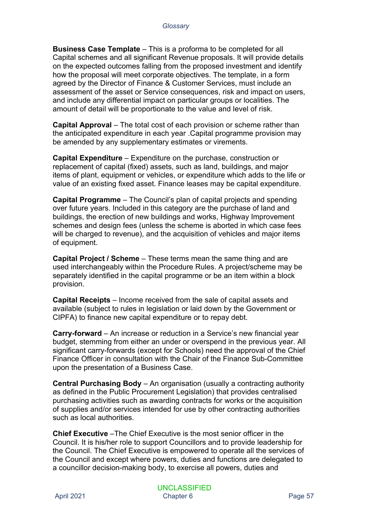**Business Case Template** – This is a proforma to be completed for all Capital schemes and all significant Revenue proposals. It will provide details on the expected outcomes falling from the proposed investment and identify how the proposal will meet corporate objectives. The template, in a form agreed by the Director of Finance & Customer Services, must include an assessment of the asset or Service consequences, risk and impact on users, and include any differential impact on particular groups or localities. The amount of detail will be proportionate to the value and level of risk.

**Capital Approval** – The total cost of each provision or scheme rather than the anticipated expenditure in each year .Capital programme provision may be amended by any supplementary estimates or virements.

**Capital Expenditure** – Expenditure on the purchase, construction or replacement of capital (fixed) assets, such as land, buildings, and major items of plant, equipment or vehicles, or expenditure which adds to the life or value of an existing fixed asset. Finance leases may be capital expenditure.

**Capital Programme** – The Council's plan of capital projects and spending over future years. Included in this category are the purchase of land and buildings, the erection of new buildings and works, Highway Improvement schemes and design fees (unless the scheme is aborted in which case fees will be charged to revenue), and the acquisition of vehicles and major items of equipment.

**Capital Project / Scheme** – These terms mean the same thing and are used interchangeably within the Procedure Rules. A project/scheme may be separately identified in the capital programme or be an item within a block provision.

**Capital Receipts** – Income received from the sale of capital assets and available (subject to rules in legislation or laid down by the Government or CIPFA) to finance new capital expenditure or to repay debt.

**Carry-forward** – An increase or reduction in a Service's new financial year budget, stemming from either an under or overspend in the previous year. All significant carry-forwards (except for Schools) need the approval of the Chief Finance Officer in consultation with the Chair of the Finance Sub-Committee upon the presentation of a Business Case.

**Central Purchasing Body** – An organisation (usually a contracting authority as defined in the Public Procurement Legislation) that provides centralised purchasing activities such as awarding contracts for works or the acquisition of supplies and/or services intended for use by other contracting authorities such as local authorities.

**Chief Executive** –The Chief Executive is the most senior officer in the Council. It is his/her role to support Councillors and to provide leadership for the Council. The Chief Executive is empowered to operate all the services of the Council and except where powers, duties and functions are delegated to a councillor decision-making body, to exercise all powers, duties and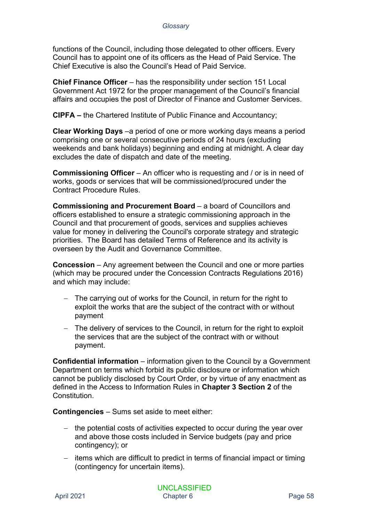functions of the Council, including those delegated to other officers. Every Council has to appoint one of its officers as the Head of Paid Service. The Chief Executive is also the Council's Head of Paid Service.

**Chief Finance Officer** – has the responsibility under section 151 Local Government Act 1972 for the proper management of the Council's financial affairs and occupies the post of Director of Finance and Customer Services.

**CIPFA –** the Chartered Institute of Public Finance and Accountancy;

**Clear Working Days** –a period of one or more working days means a period comprising one or several consecutive periods of 24 hours (excluding weekends and bank holidays) beginning and ending at midnight. A clear day excludes the date of dispatch and date of the meeting.

**Commissioning Officer** – An officer who is requesting and / or is in need of works, goods or services that will be commissioned/procured under the Contract Procedure Rules.

**Commissioning and Procurement Board** – a board of Councillors and officers established to ensure a strategic commissioning approach in the Council and that procurement of goods, services and supplies achieves value for money in delivering the Council's corporate strategy and strategic priorities. The Board has detailed Terms of Reference and its activity is overseen by the Audit and Governance Committee.

**Concession** – Any agreement between the Council and one or more parties (which may be procured under the Concession Contracts Regulations 2016) and which may include:

- The carrying out of works for the Council, in return for the right to exploit the works that are the subject of the contract with or without payment
- The delivery of services to the Council, in return for the right to exploit the services that are the subject of the contract with or without payment.

**Confidential information** – information given to the Council by a Government Department on terms which forbid its public disclosure or information which cannot be publicly disclosed by Court Order, or by virtue of any enactment as defined in the Access to Information Rules in **Chapter 3 Section 2** of the Constitution.

**Contingencies** – Sums set aside to meet either:

- $-$  the potential costs of activities expected to occur during the year over and above those costs included in Service budgets (pay and price contingency); or
- items which are difficult to predict in terms of financial impact or timing (contingency for uncertain items).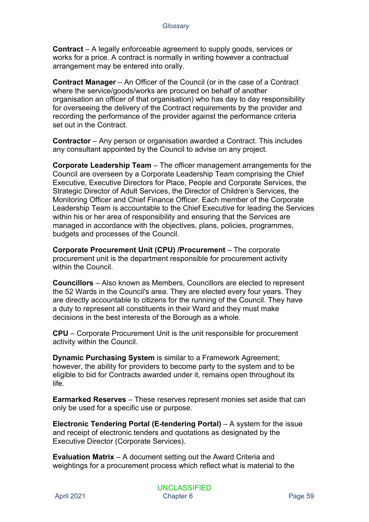**Contract** – A legally enforceable agreement to supply goods, services or works for a price. A contract is normally in writing however a contractual arrangement may be entered into orally.

**Contract Manager** – An Officer of the Council (or in the case of a Contract where the service/goods/works are procured on behalf of another organisation an officer of that organisation) who has day to day responsibility for overseeing the delivery of the Contract requirements by the provider and recording the performance of the provider against the performance criteria set out in the Contract.

**Contractor** – Any person or organisation awarded a Contract. This includes any consultant appointed by the Council to advise on any project.

**Corporate Leadership Team** – The officer management arrangements for the Council are overseen by a Corporate Leadership Team comprising the Chief Executive, Executive Directors for Place, People and Corporate Services, the Strategic Director of Adult Services, the Director of Children's Services, the Monitoring Officer and Chief Finance Officer. Each member of the Corporate Leadership Team is accountable to the Chief Executive for leading the Services within his or her area of responsibility and ensuring that the Services are managed in accordance with the objectives, plans, policies, programmes, budgets and processes of the Council.

**Corporate Procurement Unit (CPU) /Procurement** – The corporate procurement unit is the department responsible for procurement activity within the Council.

**Councillors** – Also known as Members, Councillors are elected to represent the 52 Wards in the Council's area. They are elected every four years. They are directly accountable to citizens for the running of the Council. They have a duty to represent all constituents in their Ward and they must make decisions in the best interests of the Borough as a whole.

**CPU** – Corporate Procurement Unit is the unit responsible for procurement activity within the Council.

**Dynamic Purchasing System** is similar to a Framework Agreement; however, the ability for providers to become party to the system and to be eligible to bid for Contracts awarded under it, remains open throughout its life.

**Earmarked Reserves** – These reserves represent monies set aside that can only be used for a specific use or purpose.

**Electronic Tendering Portal (E-tendering Portal)** – A system for the issue and receipt of electronic tenders and quotations as designated by the Executive Director (Corporate Services).

**Evaluation Matrix** – A document setting out the Award Criteria and weightings for a procurement process which reflect what is material to the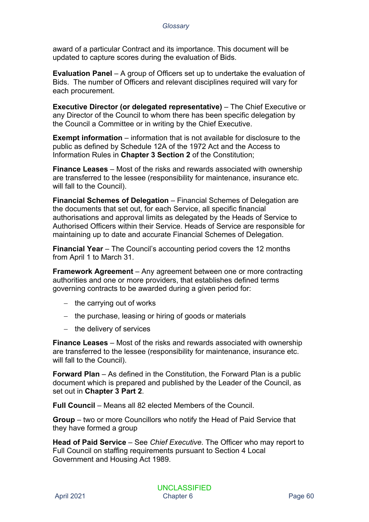#### *Glossary*

award of a particular Contract and its importance. This document will be updated to capture scores during the evaluation of Bids.

**Evaluation Panel** – A group of Officers set up to undertake the evaluation of Bids. The number of Officers and relevant disciplines required will vary for each procurement.

**Executive Director (or delegated representative)** – The Chief Executive or any Director of the Council to whom there has been specific delegation by the Council a Committee or in writing by the Chief Executive.

**Exempt information** – information that is not available for disclosure to the public as defined by Schedule 12A of the 1972 Act and the Access to Information Rules in **Chapter 3 Section 2** of the Constitution;

**Finance Leases** – Most of the risks and rewards associated with ownership are transferred to the lessee (responsibility for maintenance, insurance etc. will fall to the Council).

**Financial Schemes of Delegation** – Financial Schemes of Delegation are the documents that set out, for each Service, all specific financial authorisations and approval limits as delegated by the Heads of Service to Authorised Officers within their Service. Heads of Service are responsible for maintaining up to date and accurate Financial Schemes of Delegation.

**Financial Year** – The Council's accounting period covers the 12 months from April 1 to March 31.

**Framework Agreement** – Any agreement between one or more contracting authorities and one or more providers, that establishes defined terms governing contracts to be awarded during a given period for:

- $-$  the carrying out of works
- $-$  the purchase, leasing or hiring of goods or materials
- $-$  the delivery of services

**Finance Leases** – Most of the risks and rewards associated with ownership are transferred to the lessee (responsibility for maintenance, insurance etc. will fall to the Council).

**Forward Plan** – As defined in the Constitution, the Forward Plan is a public document which is prepared and published by the Leader of the Council, as set out in **Chapter 3 Part 2**.

**Full Council** – Means all 82 elected Members of the Council.

**Group** – two or more Councillors who notify the Head of Paid Service that they have formed a group

**Head of Paid Service** – See *Chief Executive.* The Officer who may report to Full Council on staffing requirements pursuant to Section 4 Local Government and Housing Act 1989.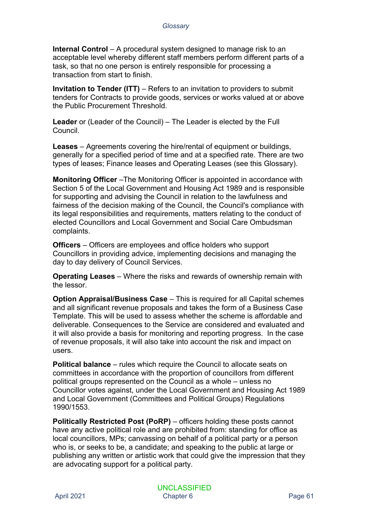**Internal Control** – A procedural system designed to manage risk to an acceptable level whereby different staff members perform different parts of a task, so that no one person is entirely responsible for processing a transaction from start to finish.

**Invitation to Tender (ITT)** – Refers to an invitation to providers to submit tenders for Contracts to provide goods, services or works valued at or above the Public Procurement Threshold.

**Leader** or (Leader of the Council) – The Leader is elected by the Full Council.

**Leases** – Agreements covering the hire/rental of equipment or buildings, generally for a specified period of time and at a specified rate. There are two types of leases; Finance leases and Operating Leases (see this Glossary).

**Monitoring Officer** –The Monitoring Officer is appointed in accordance with Section 5 of the Local Government and Housing Act 1989 and is responsible for supporting and advising the Council in relation to the lawfulness and fairness of the decision making of the Council, the Council's compliance with its legal responsibilities and requirements, matters relating to the conduct of elected Councillors and Local Government and Social Care Ombudsman complaints.

**Officers** – Officers are employees and office holders who support Councillors in providing advice, implementing decisions and managing the day to day delivery of Council Services.

**Operating Leases** – Where the risks and rewards of ownership remain with the lessor.

**Option Appraisal/Business Case** – This is required for all Capital schemes and all significant revenue proposals and takes the form of a Business Case Template. This will be used to assess whether the scheme is affordable and deliverable. Consequences to the Service are considered and evaluated and it will also provide a basis for monitoring and reporting progress. In the case of revenue proposals, it will also take into account the risk and impact on users.

**Political balance** – rules which require the Council to allocate seats on committees in accordance with the proportion of councillors from different political groups represented on the Council as a whole – unless no Councillor votes against, under the Local Government and Housing Act 1989 and Local Government (Committees and Political Groups) Regulations 1990/1553.

**Politically Restricted Post (PoRP)** – officers holding these posts cannot have any active political role and are prohibited from: standing for office as local councillors, MPs; canvassing on behalf of a political party or a person who is, or seeks to be, a candidate; and speaking to the public at large or publishing any written or artistic work that could give the impression that they are advocating support for a political party.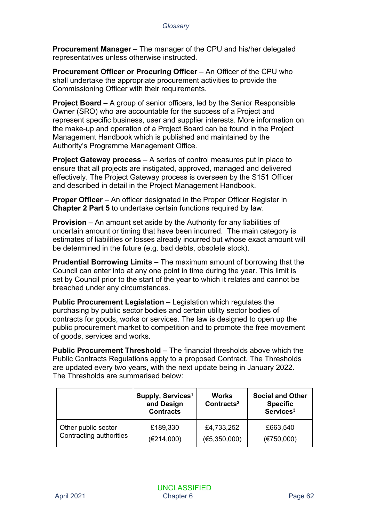**Procurement Manager** – The manager of the CPU and his/her delegated representatives unless otherwise instructed.

**Procurement Officer or Procuring Officer** – An Officer of the CPU who shall undertake the appropriate procurement activities to provide the Commissioning Officer with their requirements.

**Project Board** – A group of senior officers, led by the Senior Responsible Owner (SRO) who are accountable for the success of a Project and represent specific business, user and supplier interests. More information on the make-up and operation of a Project Board can be found in the Project Management Handbook which is published and maintained by the Authority's Programme Management Office.

**Project Gateway process** – A series of control measures put in place to ensure that all projects are instigated, approved, managed and delivered effectively. The Project Gateway process is overseen by the S151 Officer and described in detail in the Project Management Handbook.

**Proper Officer** – An officer designated in the Proper Officer Register in **Chapter 2 Part 5** to undertake certain functions required by law.

**Provision** – An amount set aside by the Authority for any liabilities of uncertain amount or timing that have been incurred. The main category is estimates of liabilities or losses already incurred but whose exact amount will be determined in the future (e.g. bad debts, obsolete stock).

**Prudential Borrowing Limits** – The maximum amount of borrowing that the Council can enter into at any one point in time during the year. This limit is set by Council prior to the start of the year to which it relates and cannot be breached under any circumstances.

**Public Procurement Legislation** – Legislation which regulates the purchasing by public sector bodies and certain utility sector bodies of contracts for goods, works or services. The law is designed to open up the public procurement market to competition and to promote the free movement of goods, services and works.

**Public Procurement Threshold** – The financial thresholds above which the Public Contracts Regulations apply to a proposed Contract. The Thresholds are updated every two years, with the next update being in January 2022. The Thresholds are summarised below:

|                         | Supply, Services <sup>1</sup><br>and Design<br><b>Contracts</b> | <b>Works</b><br>Contracts <sup>2</sup> | <b>Social and Other</b><br><b>Specific</b><br>Services <sup>3</sup> |
|-------------------------|-----------------------------------------------------------------|----------------------------------------|---------------------------------------------------------------------|
| Other public sector     | £189,330                                                        | £4,733,252                             | £663,540                                                            |
| Contracting authorities | (E214,000)                                                      | (€5,350,000)                           | (E750,000)                                                          |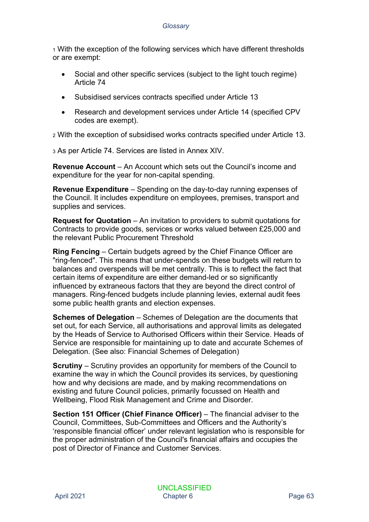<sup>1</sup> With the exception of the following services which have different thresholds or are exempt:

- Social and other specific services (subject to the light touch regime) Article 74
- Subsidised services contracts specified under Article 13
- Research and development services under Article 14 (specified CPV codes are exempt).

<sup>2</sup> With the exception of subsidised works contracts specified under Article 13.

<sup>3</sup> As per Article 74. Services are listed in Annex XIV.

**Revenue Account** – An Account which sets out the Council's income and expenditure for the year for non-capital spending.

**Revenue Expenditure** – Spending on the day-to-day running expenses of the Council. It includes expenditure on employees, premises, transport and supplies and services.

**Request for Quotation** – An invitation to providers to submit quotations for Contracts to provide goods, services or works valued between £25,000 and the relevant Public Procurement Threshold

**Ring Fencing** – Certain budgets agreed by the Chief Finance Officer are "ring-fenced". This means that under-spends on these budgets will return to balances and overspends will be met centrally. This is to reflect the fact that certain items of expenditure are either demand-led or so significantly influenced by extraneous factors that they are beyond the direct control of managers. Ring-fenced budgets include planning levies, external audit fees some public health grants and election expenses.

**Schemes of Delegation** – Schemes of Delegation are the documents that set out, for each Service, all authorisations and approval limits as delegated by the Heads of Service to Authorised Officers within their Service. Heads of Service are responsible for maintaining up to date and accurate Schemes of Delegation. (See also: Financial Schemes of Delegation)

**Scrutiny** – Scrutiny provides an opportunity for members of the Council to examine the way in which the Council provides its services, by questioning how and why decisions are made, and by making recommendations on existing and future Council policies, primarily focussed on Health and Wellbeing, Flood Risk Management and Crime and Disorder.

**Section 151 Officer (Chief Finance Officer)** – The financial adviser to the Council, Committees, Sub-Committees and Officers and the Authority's 'responsible financial officer' under relevant legislation who is responsible for the proper administration of the Council's financial affairs and occupies the post of Director of Finance and Customer Services.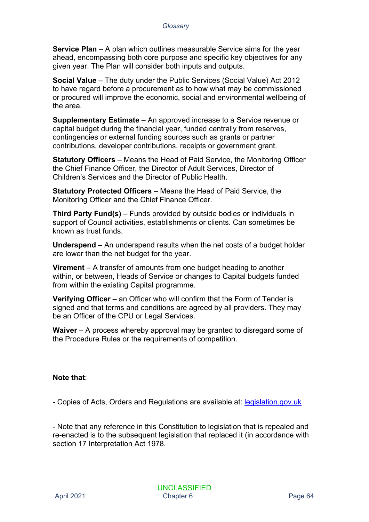**Service Plan** – A plan which outlines measurable Service aims for the year ahead, encompassing both core purpose and specific key objectives for any given year. The Plan will consider both inputs and outputs.

**Social Value** – The duty under the Public Services (Social Value) Act 2012 to have regard before a procurement as to how what may be commissioned or procured will improve the economic, social and environmental wellbeing of the area.

**Supplementary Estimate** – An approved increase to a Service revenue or capital budget during the financial year, funded centrally from reserves, contingencies or external funding sources such as grants or partner contributions, developer contributions, receipts or government grant.

**Statutory Officers** – Means the Head of Paid Service, the Monitoring Officer the Chief Finance Officer, the Director of Adult Services, Director of Children's Services and the Director of Public Health.

**Statutory Protected Officers** – Means the Head of Paid Service, the Monitoring Officer and the Chief Finance Officer.

**Third Party Fund(s)** – Funds provided by outside bodies or individuals in support of Council activities, establishments or clients. Can sometimes be known as trust funds.

**Underspend** – An underspend results when the net costs of a budget holder are lower than the net budget for the year.

**Virement** – A transfer of amounts from one budget heading to another within, or between, Heads of Service or changes to Capital budgets funded from within the existing Capital programme.

**Verifying Officer** – an Officer who will confirm that the Form of Tender is signed and that terms and conditions are agreed by all providers. They may be an Officer of the CPU or Legal Services.

**Waiver** – A process whereby approval may be granted to disregard some of the Procedure Rules or the requirements of competition.

#### **Note that**:

- Copies of Acts, Orders and Regulations are available at: legislation.gov.uk

- Note that any reference in this Constitution to legislation that is repealed and re-enacted is to the subsequent legislation that replaced it (in accordance with section 17 Interpretation Act 1978.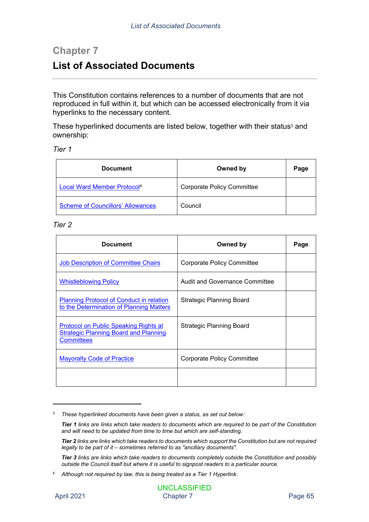## **Chapter 7**

## **List of Associated Documents**

This Constitution contains references to a number of documents that are not reproduced in full within it, but which can be accessed electronically from it via hyperlinks to the necessary content.

These hyperlinked documents are listed below, together with their status<sup>3</sup> and ownership:

*Tier 1*

| <b>Document</b>                          | Owned by                          | Page |
|------------------------------------------|-----------------------------------|------|
| Local Ward Member Protocol <sup>4</sup>  | <b>Corporate Policy Committee</b> |      |
| <b>Scheme of Councillors' Allowances</b> | Council                           |      |

#### *Tier 2*

| <b>Document</b>                                                                                            | Owned by                          | Page |
|------------------------------------------------------------------------------------------------------------|-----------------------------------|------|
| <b>Job Description of Committee Chairs</b>                                                                 | <b>Corporate Policy Committee</b> |      |
| <b>Whistleblowing Policy</b>                                                                               | Audit and Governance Committee    |      |
| <b>Planning Protocol of Conduct in relation</b><br>to the Determination of Planning Matters                | <b>Strategic Planning Board</b>   |      |
| Protocol on Public Speaking Rights at<br><b>Strategic Planning Board and Planning</b><br><b>Committees</b> | <b>Strategic Planning Board</b>   |      |
| <b>Mayoralty Code of Practice</b>                                                                          | <b>Corporate Policy Committee</b> |      |
|                                                                                                            |                                   |      |

<sup>3</sup> *These hyperlinked documents have been given a status, as set out below:*

Tier 1 links are links which take readers to documents which are required to be part of the Constitution *and will need to be updated from time to time but which are self-standing.*

Tier 2 links are links which take readers to documents which support the Constitution but are not required *legally to be part of it – sometimes referred to as "ancillary documents".*

*Tier 3 links are links which take readers to documents completely outside the Constitution and possibly outside the Council itself but where it is useful to signpost readers to a particular source.*

<sup>4</sup> *Although not required by law, this is being treated as a Tier 1 Hyperlink.*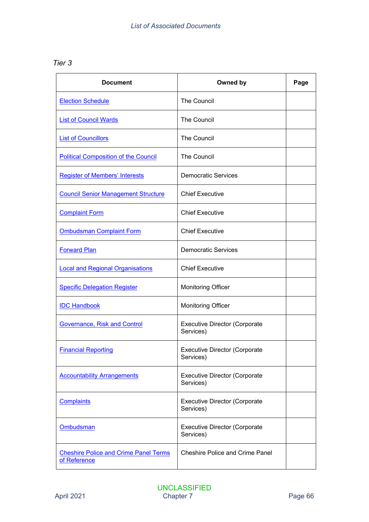#### *Tier 3*

| <b>Document</b>                                              | Owned by                                          | Page |
|--------------------------------------------------------------|---------------------------------------------------|------|
| <b>Election Schedule</b>                                     | <b>The Council</b>                                |      |
| <b>List of Council Wards</b>                                 | <b>The Council</b>                                |      |
| <b>List of Councillors</b>                                   | <b>The Council</b>                                |      |
| <b>Political Composition of the Council</b>                  | <b>The Council</b>                                |      |
| <b>Register of Members' Interests</b>                        | <b>Democratic Services</b>                        |      |
| <b>Council Senior Management Structure</b>                   | <b>Chief Executive</b>                            |      |
| <b>Complaint Form</b>                                        | <b>Chief Executive</b>                            |      |
| <b>Ombudsman Complaint Form</b>                              | <b>Chief Executive</b>                            |      |
| <b>Forward Plan</b>                                          | <b>Democratic Services</b>                        |      |
| <b>Local and Regional Organisations</b>                      | <b>Chief Executive</b>                            |      |
| <b>Specific Delegation Register</b>                          | <b>Monitoring Officer</b>                         |      |
| <b>IDC Handbook</b>                                          | <b>Monitoring Officer</b>                         |      |
| <b>Governance, Risk and Control</b>                          | <b>Executive Director (Corporate</b><br>Services) |      |
| <b>Financial Reporting</b>                                   | <b>Executive Director (Corporate</b><br>Services) |      |
| <b>Accountability Arrangements</b>                           | <b>Executive Director (Corporate</b><br>Services) |      |
| <b>Complaints</b>                                            | <b>Executive Director (Corporate</b><br>Services) |      |
| Ombudsman                                                    | <b>Executive Director (Corporate</b><br>Services) |      |
| <b>Cheshire Police and Crime Panel Terms</b><br>of Reference | <b>Cheshire Police and Crime Panel</b>            |      |